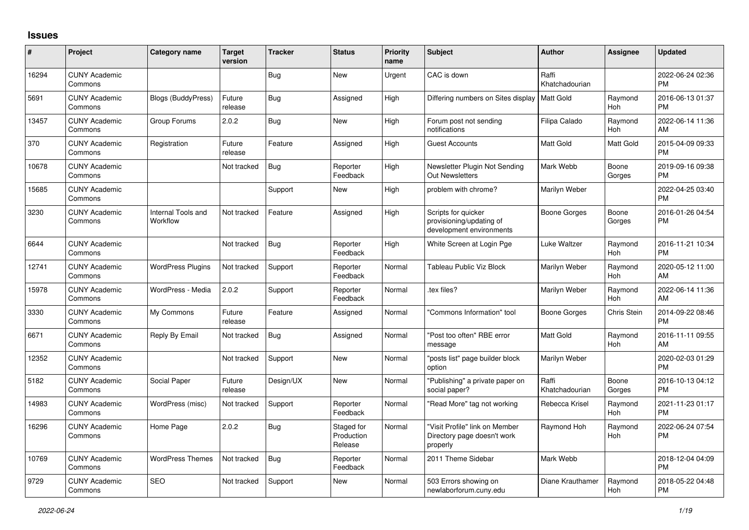## **Issues**

| #     | Project                         | <b>Category name</b>           | <b>Target</b><br>version | <b>Tracker</b> | <b>Status</b>                       | <b>Priority</b><br>name | <b>Subject</b>                                                              | <b>Author</b>           | <b>Assignee</b> | <b>Updated</b>                |
|-------|---------------------------------|--------------------------------|--------------------------|----------------|-------------------------------------|-------------------------|-----------------------------------------------------------------------------|-------------------------|-----------------|-------------------------------|
| 16294 | <b>CUNY Academic</b><br>Commons |                                |                          | Bug            | <b>New</b>                          | Urgent                  | CAC is down                                                                 | Raffi<br>Khatchadourian |                 | 2022-06-24 02:36<br><b>PM</b> |
| 5691  | <b>CUNY Academic</b><br>Commons | <b>Blogs (BuddyPress)</b>      | Future<br>release        | <b>Bug</b>     | Assigned                            | High                    | Differing numbers on Sites display   Matt Gold                              |                         | Raymond<br>Hoh  | 2016-06-13 01:37<br><b>PM</b> |
| 13457 | <b>CUNY Academic</b><br>Commons | Group Forums                   | 2.0.2                    | <b>Bug</b>     | <b>New</b>                          | High                    | Forum post not sending<br>notifications                                     | Filipa Calado           | Raymond<br>Hoh  | 2022-06-14 11:36<br>AM        |
| 370   | <b>CUNY Academic</b><br>Commons | Registration                   | Future<br>release        | Feature        | Assigned                            | High                    | <b>Guest Accounts</b>                                                       | Matt Gold               | Matt Gold       | 2015-04-09 09:33<br><b>PM</b> |
| 10678 | <b>CUNY Academic</b><br>Commons |                                | Not tracked              | Bug            | Reporter<br>Feedback                | High                    | Newsletter Plugin Not Sending<br><b>Out Newsletters</b>                     | Mark Webb               | Boone<br>Gorges | 2019-09-16 09:38<br><b>PM</b> |
| 15685 | <b>CUNY Academic</b><br>Commons |                                |                          | Support        | New                                 | High                    | problem with chrome?                                                        | Marilyn Weber           |                 | 2022-04-25 03:40<br><b>PM</b> |
| 3230  | <b>CUNY Academic</b><br>Commons | Internal Tools and<br>Workflow | Not tracked              | Feature        | Assigned                            | High                    | Scripts for quicker<br>provisioning/updating of<br>development environments | <b>Boone Gorges</b>     | Boone<br>Gorges | 2016-01-26 04:54<br><b>PM</b> |
| 6644  | <b>CUNY Academic</b><br>Commons |                                | Not tracked              | <b>Bug</b>     | Reporter<br>Feedback                | High                    | White Screen at Login Pge                                                   | Luke Waltzer            | Raymond<br>Hoh  | 2016-11-21 10:34<br><b>PM</b> |
| 12741 | <b>CUNY Academic</b><br>Commons | <b>WordPress Plugins</b>       | Not tracked              | Support        | Reporter<br>Feedback                | Normal                  | Tableau Public Viz Block                                                    | Marilyn Weber           | Raymond<br>Hoh  | 2020-05-12 11:00<br>AM        |
| 15978 | <b>CUNY Academic</b><br>Commons | WordPress - Media              | 2.0.2                    | Support        | Reporter<br>Feedback                | Normal                  | tex files?                                                                  | Marilyn Weber           | Raymond<br>Hoh  | 2022-06-14 11:36<br>AM        |
| 3330  | <b>CUNY Academic</b><br>Commons | My Commons                     | Future<br>release        | Feature        | Assigned                            | Normal                  | 'Commons Information" tool                                                  | <b>Boone Gorges</b>     | Chris Stein     | 2014-09-22 08:46<br><b>PM</b> |
| 6671  | <b>CUNY Academic</b><br>Commons | Reply By Email                 | Not tracked              | Bug            | Assigned                            | Normal                  | 'Post too often" RBE error<br>message                                       | <b>Matt Gold</b>        | Raymond<br>Hoh  | 2016-11-11 09:55<br>AM        |
| 12352 | <b>CUNY Academic</b><br>Commons |                                | Not tracked              | Support        | New                                 | Normal                  | 'posts list" page builder block<br>option                                   | Marilyn Weber           |                 | 2020-02-03 01:29<br><b>PM</b> |
| 5182  | <b>CUNY Academic</b><br>Commons | Social Paper                   | Future<br>release        | Design/UX      | <b>New</b>                          | Normal                  | 'Publishing" a private paper on<br>social paper?                            | Raffi<br>Khatchadourian | Boone<br>Gorges | 2016-10-13 04:12<br><b>PM</b> |
| 14983 | <b>CUNY Academic</b><br>Commons | WordPress (misc)               | Not tracked              | Support        | Reporter<br>Feedback                | Normal                  | 'Read More" tag not working                                                 | Rebecca Krisel          | Raymond<br>Hoh  | 2021-11-23 01:17<br><b>PM</b> |
| 16296 | <b>CUNY Academic</b><br>Commons | Home Page                      | 2.0.2                    | Bug            | Staged for<br>Production<br>Release | Normal                  | "Visit Profile" link on Member<br>Directory page doesn't work<br>properly   | Raymond Hoh             | Raymond<br>Hoh  | 2022-06-24 07:54<br><b>PM</b> |
| 10769 | <b>CUNY Academic</b><br>Commons | <b>WordPress Themes</b>        | Not tracked              | Bug            | Reporter<br>Feedback                | Normal                  | 2011 Theme Sidebar                                                          | Mark Webb               |                 | 2018-12-04 04:09<br><b>PM</b> |
| 9729  | <b>CUNY Academic</b><br>Commons | <b>SEO</b>                     | Not tracked              | Support        | New                                 | Normal                  | 503 Errors showing on<br>newlaborforum.cuny.edu                             | Diane Krauthamer        | Raymond<br>Hoh  | 2018-05-22 04:48<br><b>PM</b> |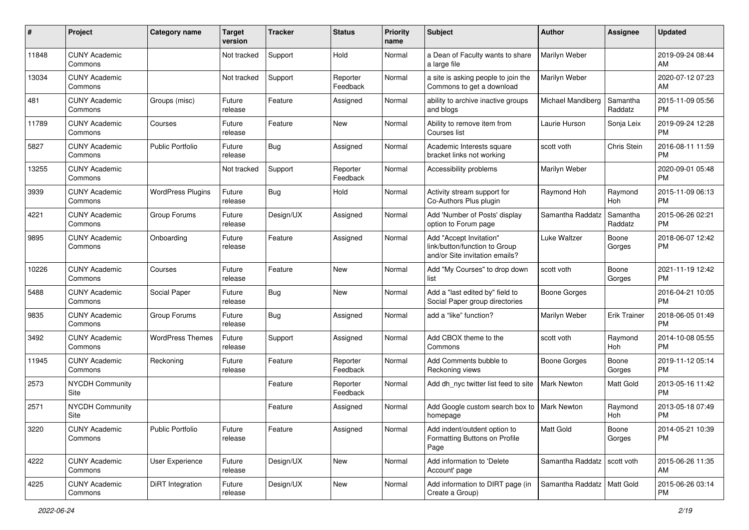| $\#$  | Project                         | <b>Category name</b>     | <b>Target</b><br>version | <b>Tracker</b> | <b>Status</b>        | <b>Priority</b><br>name | Subject                                                                                    | Author                        | <b>Assignee</b>     | <b>Updated</b>                |
|-------|---------------------------------|--------------------------|--------------------------|----------------|----------------------|-------------------------|--------------------------------------------------------------------------------------------|-------------------------------|---------------------|-------------------------------|
| 11848 | <b>CUNY Academic</b><br>Commons |                          | Not tracked              | Support        | Hold                 | Normal                  | a Dean of Faculty wants to share<br>a large file                                           | Marilyn Weber                 |                     | 2019-09-24 08:44<br>AM        |
| 13034 | <b>CUNY Academic</b><br>Commons |                          | Not tracked              | Support        | Reporter<br>Feedback | Normal                  | a site is asking people to join the<br>Commons to get a download                           | Marilyn Weber                 |                     | 2020-07-12 07:23<br>AM        |
| 481   | <b>CUNY Academic</b><br>Commons | Groups (misc)            | Future<br>release        | Feature        | Assigned             | Normal                  | ability to archive inactive groups<br>and blogs                                            | Michael Mandiberg             | Samantha<br>Raddatz | 2015-11-09 05:56<br><b>PM</b> |
| 11789 | <b>CUNY Academic</b><br>Commons | Courses                  | Future<br>release        | Feature        | <b>New</b>           | Normal                  | Ability to remove item from<br>Courses list                                                | Laurie Hurson                 | Sonja Leix          | 2019-09-24 12:28<br><b>PM</b> |
| 5827  | <b>CUNY Academic</b><br>Commons | Public Portfolio         | Future<br>release        | <b>Bug</b>     | Assigned             | Normal                  | Academic Interests square<br>bracket links not working                                     | scott voth                    | Chris Stein         | 2016-08-11 11:59<br><b>PM</b> |
| 13255 | <b>CUNY Academic</b><br>Commons |                          | Not tracked              | Support        | Reporter<br>Feedback | Normal                  | Accessibility problems                                                                     | Marilyn Weber                 |                     | 2020-09-01 05:48<br><b>PM</b> |
| 3939  | <b>CUNY Academic</b><br>Commons | <b>WordPress Plugins</b> | Future<br>release        | Bug            | Hold                 | Normal                  | Activity stream support for<br>Co-Authors Plus plugin                                      | Raymond Hoh                   | Raymond<br>Hoh      | 2015-11-09 06:13<br><b>PM</b> |
| 4221  | <b>CUNY Academic</b><br>Commons | Group Forums             | Future<br>release        | Design/UX      | Assigned             | Normal                  | Add 'Number of Posts' display<br>option to Forum page                                      | Samantha Raddatz              | Samantha<br>Raddatz | 2015-06-26 02:21<br>PM        |
| 9895  | <b>CUNY Academic</b><br>Commons | Onboarding               | Future<br>release        | Feature        | Assigned             | Normal                  | Add "Accept Invitation"<br>link/button/function to Group<br>and/or Site invitation emails? | Luke Waltzer                  | Boone<br>Gorges     | 2018-06-07 12:42<br><b>PM</b> |
| 10226 | <b>CUNY Academic</b><br>Commons | Courses                  | Future<br>release        | Feature        | <b>New</b>           | Normal                  | Add "My Courses" to drop down<br>list                                                      | scott voth                    | Boone<br>Gorges     | 2021-11-19 12:42<br>PM        |
| 5488  | <b>CUNY Academic</b><br>Commons | Social Paper             | Future<br>release        | Bug            | <b>New</b>           | Normal                  | Add a "last edited by" field to<br>Social Paper group directories                          | <b>Boone Gorges</b>           |                     | 2016-04-21 10:05<br><b>PM</b> |
| 9835  | <b>CUNY Academic</b><br>Commons | Group Forums             | Future<br>release        | Bug            | Assigned             | Normal                  | add a "like" function?                                                                     | Marilyn Weber                 | <b>Erik Trainer</b> | 2018-06-05 01:49<br><b>PM</b> |
| 3492  | <b>CUNY Academic</b><br>Commons | <b>WordPress Themes</b>  | Future<br>release        | Support        | Assigned             | Normal                  | Add CBOX theme to the<br>Commons                                                           | scott voth                    | Raymond<br>Hoh      | 2014-10-08 05:55<br><b>PM</b> |
| 11945 | <b>CUNY Academic</b><br>Commons | Reckoning                | Future<br>release        | Feature        | Reporter<br>Feedback | Normal                  | Add Comments bubble to<br>Reckoning views                                                  | <b>Boone Gorges</b>           | Boone<br>Gorges     | 2019-11-12 05:14<br><b>PM</b> |
| 2573  | <b>NYCDH Community</b><br>Site  |                          |                          | Feature        | Reporter<br>Feedback | Normal                  | Add dh_nyc twitter list feed to site                                                       | <b>Mark Newton</b>            | Matt Gold           | 2013-05-16 11:42<br><b>PM</b> |
| 2571  | NYCDH Community<br>Site         |                          |                          | Feature        | Assigned             | Normal                  | Add Google custom search box to<br>homepage                                                | <b>Mark Newton</b>            | Raymond<br>Hoh      | 2013-05-18 07:49<br>PM        |
| 3220  | <b>CUNY Academic</b><br>Commons | Public Portfolio         | Future<br>release        | Feature        | Assigned             | Normal                  | Add indent/outdent option to<br>Formatting Buttons on Profile<br>Page                      | Matt Gold                     | Boone<br>Gorges     | 2014-05-21 10:39<br><b>PM</b> |
| 4222  | <b>CUNY Academic</b><br>Commons | User Experience          | Future<br>release        | Design/UX      | New                  | Normal                  | Add information to 'Delete<br>Account' page                                                | Samantha Raddatz   scott voth |                     | 2015-06-26 11:35<br>AM        |
| 4225  | <b>CUNY Academic</b><br>Commons | DiRT Integration         | Future<br>release        | Design/UX      | New                  | Normal                  | Add information to DIRT page (in<br>Create a Group)                                        | Samantha Raddatz   Matt Gold  |                     | 2015-06-26 03:14<br><b>PM</b> |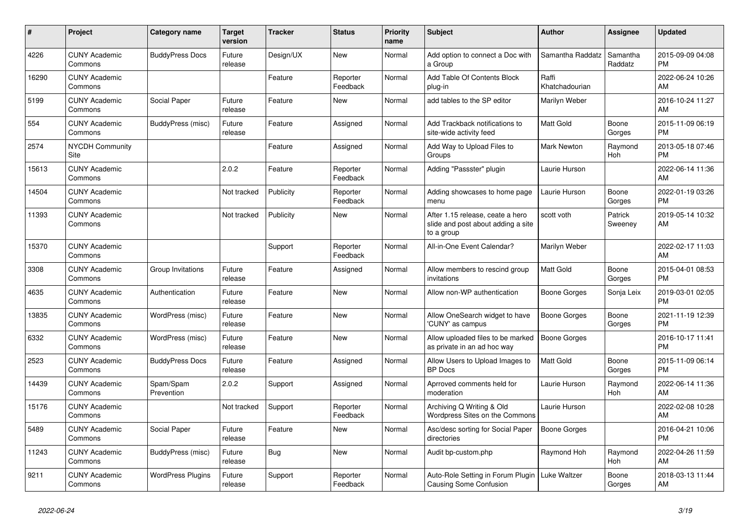| #     | <b>Project</b>                  | Category name            | Target<br>version | <b>Tracker</b> | <b>Status</b>        | <b>Priority</b><br>name | <b>Subject</b>                                                                       | <b>Author</b>           | Assignee            | <b>Updated</b>                |
|-------|---------------------------------|--------------------------|-------------------|----------------|----------------------|-------------------------|--------------------------------------------------------------------------------------|-------------------------|---------------------|-------------------------------|
| 4226  | <b>CUNY Academic</b><br>Commons | <b>BuddyPress Docs</b>   | Future<br>release | Design/UX      | <b>New</b>           | Normal                  | Add option to connect a Doc with<br>a Group                                          | Samantha Raddatz        | Samantha<br>Raddatz | 2015-09-09 04:08<br><b>PM</b> |
| 16290 | <b>CUNY Academic</b><br>Commons |                          |                   | Feature        | Reporter<br>Feedback | Normal                  | Add Table Of Contents Block<br>plug-in                                               | Raffi<br>Khatchadourian |                     | 2022-06-24 10:26<br>AM        |
| 5199  | <b>CUNY Academic</b><br>Commons | Social Paper             | Future<br>release | Feature        | <b>New</b>           | Normal                  | add tables to the SP editor                                                          | Marilyn Weber           |                     | 2016-10-24 11:27<br>AM        |
| 554   | <b>CUNY Academic</b><br>Commons | BuddyPress (misc)        | Future<br>release | Feature        | Assigned             | Normal                  | Add Trackback notifications to<br>site-wide activity feed                            | <b>Matt Gold</b>        | Boone<br>Gorges     | 2015-11-09 06:19<br><b>PM</b> |
| 2574  | <b>NYCDH Community</b><br>Site  |                          |                   | Feature        | Assigned             | Normal                  | Add Way to Upload Files to<br>Groups                                                 | Mark Newton             | Raymond<br>Hoh      | 2013-05-18 07:46<br><b>PM</b> |
| 15613 | <b>CUNY Academic</b><br>Commons |                          | 2.0.2             | Feature        | Reporter<br>Feedback | Normal                  | Adding "Passster" plugin                                                             | Laurie Hurson           |                     | 2022-06-14 11:36<br>AM        |
| 14504 | <b>CUNY Academic</b><br>Commons |                          | Not tracked       | Publicity      | Reporter<br>Feedback | Normal                  | Adding showcases to home page<br>menu                                                | Laurie Hurson           | Boone<br>Gorges     | 2022-01-19 03:26<br><b>PM</b> |
| 11393 | <b>CUNY Academic</b><br>Commons |                          | Not tracked       | Publicity      | <b>New</b>           | Normal                  | After 1.15 release, ceate a hero<br>slide and post about adding a site<br>to a group | scott voth              | Patrick<br>Sweeney  | 2019-05-14 10:32<br>AM        |
| 15370 | <b>CUNY Academic</b><br>Commons |                          |                   | Support        | Reporter<br>Feedback | Normal                  | All-in-One Event Calendar?                                                           | Marilyn Weber           |                     | 2022-02-17 11:03<br>AM        |
| 3308  | <b>CUNY Academic</b><br>Commons | Group Invitations        | Future<br>release | Feature        | Assigned             | Normal                  | Allow members to rescind group<br>invitations                                        | Matt Gold               | Boone<br>Gorges     | 2015-04-01 08:53<br><b>PM</b> |
| 4635  | <b>CUNY Academic</b><br>Commons | Authentication           | Future<br>release | Feature        | <b>New</b>           | Normal                  | Allow non-WP authentication                                                          | Boone Gorges            | Sonja Leix          | 2019-03-01 02:05<br><b>PM</b> |
| 13835 | <b>CUNY Academic</b><br>Commons | WordPress (misc)         | Future<br>release | Feature        | New                  | Normal                  | Allow OneSearch widget to have<br>'CUNY' as campus                                   | Boone Gorges            | Boone<br>Gorges     | 2021-11-19 12:39<br><b>PM</b> |
| 6332  | <b>CUNY Academic</b><br>Commons | WordPress (misc)         | Future<br>release | Feature        | <b>New</b>           | Normal                  | Allow uploaded files to be marked<br>as private in an ad hoc way                     | <b>Boone Gorges</b>     |                     | 2016-10-17 11:41<br><b>PM</b> |
| 2523  | <b>CUNY Academic</b><br>Commons | <b>BuddyPress Docs</b>   | Future<br>release | Feature        | Assigned             | Normal                  | Allow Users to Upload Images to<br><b>BP</b> Docs                                    | Matt Gold               | Boone<br>Gorges     | 2015-11-09 06:14<br><b>PM</b> |
| 14439 | <b>CUNY Academic</b><br>Commons | Spam/Spam<br>Prevention  | 2.0.2             | Support        | Assigned             | Normal                  | Aprroved comments held for<br>moderation                                             | Laurie Hurson           | Raymond<br>Hoh      | 2022-06-14 11:36<br>AM        |
| 15176 | <b>CUNY Academic</b><br>Commons |                          | Not tracked       | Support        | Reporter<br>Feedback | Normal                  | Archiving Q Writing & Old<br>Wordpress Sites on the Commons                          | Laurie Hurson           |                     | 2022-02-08 10:28<br>AM        |
| 5489  | <b>CUNY Academic</b><br>Commons | Social Paper             | Future<br>release | Feature        | <b>New</b>           | Normal                  | Asc/desc sorting for Social Paper<br>directories                                     | <b>Boone Gorges</b>     |                     | 2016-04-21 10:06<br><b>PM</b> |
| 11243 | <b>CUNY Academic</b><br>Commons | BuddyPress (misc)        | Future<br>release | Bug            | <b>New</b>           | Normal                  | Audit bp-custom.php                                                                  | Raymond Hoh             | Raymond<br>Hoh      | 2022-04-26 11:59<br>AM        |
| 9211  | <b>CUNY Academic</b><br>Commons | <b>WordPress Plugins</b> | Future<br>release | Support        | Reporter<br>Feedback | Normal                  | Auto-Role Setting in Forum Plugin<br><b>Causing Some Confusion</b>                   | Luke Waltzer            | Boone<br>Gorges     | 2018-03-13 11:44<br>AM        |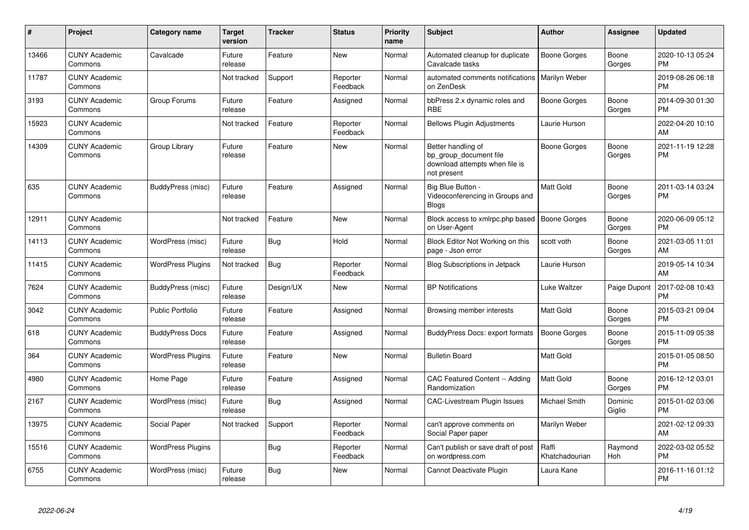| #     | Project                         | <b>Category name</b>     | Target<br>version | <b>Tracker</b> | <b>Status</b>        | <b>Priority</b><br>name | <b>Subject</b>                                                                                | <b>Author</b>           | <b>Assignee</b>   | <b>Updated</b>                |
|-------|---------------------------------|--------------------------|-------------------|----------------|----------------------|-------------------------|-----------------------------------------------------------------------------------------------|-------------------------|-------------------|-------------------------------|
| 13466 | <b>CUNY Academic</b><br>Commons | Cavalcade                | Future<br>release | Feature        | <b>New</b>           | Normal                  | Automated cleanup for duplicate<br>Cavalcade tasks                                            | Boone Gorges            | Boone<br>Gorges   | 2020-10-13 05:24<br><b>PM</b> |
| 11787 | <b>CUNY Academic</b><br>Commons |                          | Not tracked       | Support        | Reporter<br>Feedback | Normal                  | automated comments notifications<br>on ZenDesk                                                | Marilyn Weber           |                   | 2019-08-26 06:18<br><b>PM</b> |
| 3193  | <b>CUNY Academic</b><br>Commons | Group Forums             | Future<br>release | Feature        | Assigned             | Normal                  | bbPress 2.x dynamic roles and<br><b>RBE</b>                                                   | <b>Boone Gorges</b>     | Boone<br>Gorges   | 2014-09-30 01:30<br><b>PM</b> |
| 15923 | <b>CUNY Academic</b><br>Commons |                          | Not tracked       | Feature        | Reporter<br>Feedback | Normal                  | <b>Bellows Plugin Adjustments</b>                                                             | Laurie Hurson           |                   | 2022-04-20 10:10<br>AM        |
| 14309 | <b>CUNY Academic</b><br>Commons | Group Library            | Future<br>release | Feature        | New                  | Normal                  | Better handling of<br>bp_group_document file<br>download attempts when file is<br>not present | <b>Boone Gorges</b>     | Boone<br>Gorges   | 2021-11-19 12:28<br><b>PM</b> |
| 635   | <b>CUNY Academic</b><br>Commons | BuddyPress (misc)        | Future<br>release | Feature        | Assigned             | Normal                  | Big Blue Button -<br>Videoconferencing in Groups and<br><b>Blogs</b>                          | Matt Gold               | Boone<br>Gorges   | 2011-03-14 03:24<br><b>PM</b> |
| 12911 | <b>CUNY Academic</b><br>Commons |                          | Not tracked       | Feature        | <b>New</b>           | Normal                  | Block access to xmlrpc.php based<br>on User-Agent                                             | <b>Boone Gorges</b>     | Boone<br>Gorges   | 2020-06-09 05:12<br><b>PM</b> |
| 14113 | <b>CUNY Academic</b><br>Commons | WordPress (misc)         | Future<br>release | Bug            | Hold                 | Normal                  | Block Editor Not Working on this<br>page - Json error                                         | scott voth              | Boone<br>Gorges   | 2021-03-05 11:01<br>AM        |
| 11415 | <b>CUNY Academic</b><br>Commons | <b>WordPress Plugins</b> | Not tracked       | <b>Bug</b>     | Reporter<br>Feedback | Normal                  | <b>Blog Subscriptions in Jetpack</b>                                                          | Laurie Hurson           |                   | 2019-05-14 10:34<br>AM        |
| 7624  | <b>CUNY Academic</b><br>Commons | BuddyPress (misc)        | Future<br>release | Design/UX      | New                  | Normal                  | <b>BP Notifications</b>                                                                       | <b>Luke Waltzer</b>     | Paige Dupont      | 2017-02-08 10:43<br><b>PM</b> |
| 3042  | <b>CUNY Academic</b><br>Commons | <b>Public Portfolio</b>  | Future<br>release | Feature        | Assigned             | Normal                  | Browsing member interests                                                                     | Matt Gold               | Boone<br>Gorges   | 2015-03-21 09:04<br><b>PM</b> |
| 618   | <b>CUNY Academic</b><br>Commons | <b>BuddyPress Docs</b>   | Future<br>release | Feature        | Assigned             | Normal                  | <b>BuddyPress Docs: export formats</b>                                                        | Boone Gorges            | Boone<br>Gorges   | 2015-11-09 05:38<br><b>PM</b> |
| 364   | <b>CUNY Academic</b><br>Commons | <b>WordPress Plugins</b> | Future<br>release | Feature        | New                  | Normal                  | <b>Bulletin Board</b>                                                                         | Matt Gold               |                   | 2015-01-05 08:50<br><b>PM</b> |
| 4980  | <b>CUNY Academic</b><br>Commons | Home Page                | Future<br>release | Feature        | Assigned             | Normal                  | <b>CAC Featured Content -- Adding</b><br>Randomization                                        | <b>Matt Gold</b>        | Boone<br>Gorges   | 2016-12-12 03:01<br><b>PM</b> |
| 2167  | <b>CUNY Academic</b><br>Commons | WordPress (misc)         | Future<br>release | Bug            | Assigned             | Normal                  | CAC-Livestream Plugin Issues                                                                  | Michael Smith           | Dominic<br>Giglio | 2015-01-02 03:06<br><b>PM</b> |
| 13975 | <b>CUNY Academic</b><br>Commons | Social Paper             | Not tracked       | Support        | Reporter<br>Feedback | Normal                  | can't approve comments on<br>Social Paper paper                                               | Marilyn Weber           |                   | 2021-02-12 09:33<br>AM        |
| 15516 | <b>CUNY Academic</b><br>Commons | <b>WordPress Plugins</b> |                   | <b>Bug</b>     | Reporter<br>Feedback | Normal                  | Can't publish or save draft of post<br>on wordpress.com                                       | Raffi<br>Khatchadourian | Raymond<br>Hoh    | 2022-03-02 05:52<br><b>PM</b> |
| 6755  | <b>CUNY Academic</b><br>Commons | WordPress (misc)         | Future<br>release | <b>Bug</b>     | <b>New</b>           | Normal                  | Cannot Deactivate Plugin                                                                      | Laura Kane              |                   | 2016-11-16 01:12<br>PM        |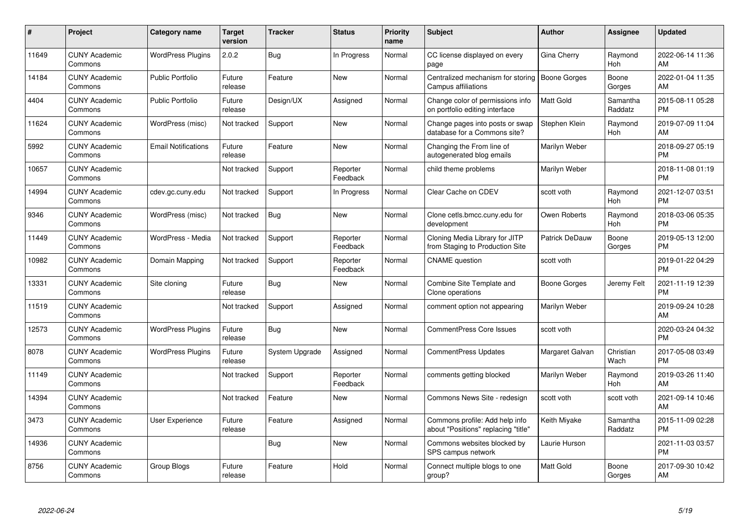| #     | Project                         | Category name              | <b>Target</b><br>version | <b>Tracker</b> | <b>Status</b>        | <b>Priority</b><br>name | <b>Subject</b>                                                        | <b>Author</b>       | <b>Assignee</b>       | <b>Updated</b>                |
|-------|---------------------------------|----------------------------|--------------------------|----------------|----------------------|-------------------------|-----------------------------------------------------------------------|---------------------|-----------------------|-------------------------------|
| 11649 | <b>CUNY Academic</b><br>Commons | <b>WordPress Plugins</b>   | 2.0.2                    | Bug            | In Progress          | Normal                  | CC license displayed on every<br>page                                 | Gina Cherry         | Raymond<br>Hoh        | 2022-06-14 11:36<br>AM        |
| 14184 | <b>CUNY Academic</b><br>Commons | <b>Public Portfolio</b>    | Future<br>release        | Feature        | New                  | Normal                  | Centralized mechanism for storing<br>Campus affiliations              | <b>Boone Gorges</b> | Boone<br>Gorges       | 2022-01-04 11:35<br>AM        |
| 4404  | <b>CUNY Academic</b><br>Commons | Public Portfolio           | Future<br>release        | Design/UX      | Assigned             | Normal                  | Change color of permissions info<br>on portfolio editing interface    | <b>Matt Gold</b>    | Samantha<br>Raddatz   | 2015-08-11 05:28<br><b>PM</b> |
| 11624 | <b>CUNY Academic</b><br>Commons | WordPress (misc)           | Not tracked              | Support        | <b>New</b>           | Normal                  | Change pages into posts or swap<br>database for a Commons site?       | Stephen Klein       | Raymond<br>Hoh        | 2019-07-09 11:04<br>AM        |
| 5992  | <b>CUNY Academic</b><br>Commons | <b>Email Notifications</b> | Future<br>release        | Feature        | <b>New</b>           | Normal                  | Changing the From line of<br>autogenerated blog emails                | Marilyn Weber       |                       | 2018-09-27 05:19<br><b>PM</b> |
| 10657 | <b>CUNY Academic</b><br>Commons |                            | Not tracked              | Support        | Reporter<br>Feedback | Normal                  | child theme problems                                                  | Marilyn Weber       |                       | 2018-11-08 01:19<br><b>PM</b> |
| 14994 | <b>CUNY Academic</b><br>Commons | cdev.gc.cuny.edu           | Not tracked              | Support        | In Progress          | Normal                  | Clear Cache on CDEV                                                   | scott voth          | Raymond<br><b>Hoh</b> | 2021-12-07 03:51<br><b>PM</b> |
| 9346  | <b>CUNY Academic</b><br>Commons | WordPress (misc)           | Not tracked              | Bug            | New                  | Normal                  | Clone cetls.bmcc.cuny.edu for<br>development                          | Owen Roberts        | Raymond<br><b>Hoh</b> | 2018-03-06 05:35<br><b>PM</b> |
| 11449 | <b>CUNY Academic</b><br>Commons | WordPress - Media          | Not tracked              | Support        | Reporter<br>Feedback | Normal                  | Cloning Media Library for JITP<br>from Staging to Production Site     | Patrick DeDauw      | Boone<br>Gorges       | 2019-05-13 12:00<br><b>PM</b> |
| 10982 | <b>CUNY Academic</b><br>Commons | Domain Mapping             | Not tracked              | Support        | Reporter<br>Feedback | Normal                  | <b>CNAME</b> question                                                 | scott voth          |                       | 2019-01-22 04:29<br><b>PM</b> |
| 13331 | <b>CUNY Academic</b><br>Commons | Site cloning               | Future<br>release        | <b>Bug</b>     | <b>New</b>           | Normal                  | Combine Site Template and<br>Clone operations                         | <b>Boone Gorges</b> | Jeremy Felt           | 2021-11-19 12:39<br><b>PM</b> |
| 11519 | <b>CUNY Academic</b><br>Commons |                            | Not tracked              | Support        | Assigned             | Normal                  | comment option not appearing                                          | Marilyn Weber       |                       | 2019-09-24 10:28<br>AM        |
| 12573 | <b>CUNY Academic</b><br>Commons | <b>WordPress Plugins</b>   | Future<br>release        | <b>Bug</b>     | <b>New</b>           | Normal                  | <b>CommentPress Core Issues</b>                                       | scott voth          |                       | 2020-03-24 04:32<br><b>PM</b> |
| 8078  | <b>CUNY Academic</b><br>Commons | <b>WordPress Plugins</b>   | Future<br>release        | System Upgrade | Assigned             | Normal                  | CommentPress Updates                                                  | Margaret Galvan     | Christian<br>Wach     | 2017-05-08 03:49<br><b>PM</b> |
| 11149 | <b>CUNY Academic</b><br>Commons |                            | Not tracked              | Support        | Reporter<br>Feedback | Normal                  | comments getting blocked                                              | Marilyn Weber       | Raymond<br>Hoh        | 2019-03-26 11:40<br>AM        |
| 14394 | <b>CUNY Academic</b><br>Commons |                            | Not tracked              | Feature        | <b>New</b>           | Normal                  | Commons News Site - redesign                                          | scott voth          | scott voth            | 2021-09-14 10:46<br>AM        |
| 3473  | <b>CUNY Academic</b><br>Commons | <b>User Experience</b>     | Future<br>release        | Feature        | Assigned             | Normal                  | Commons profile: Add help info<br>about "Positions" replacing "title" | Keith Miyake        | Samantha<br>Raddatz   | 2015-11-09 02:28<br><b>PM</b> |
| 14936 | <b>CUNY Academic</b><br>Commons |                            |                          | Bug            | <b>New</b>           | Normal                  | Commons websites blocked by<br>SPS campus network                     | Laurie Hurson       |                       | 2021-11-03 03:57<br><b>PM</b> |
| 8756  | <b>CUNY Academic</b><br>Commons | Group Blogs                | Future<br>release        | Feature        | Hold                 | Normal                  | Connect multiple blogs to one<br>group?                               | <b>Matt Gold</b>    | Boone<br>Gorges       | 2017-09-30 10:42<br>AM        |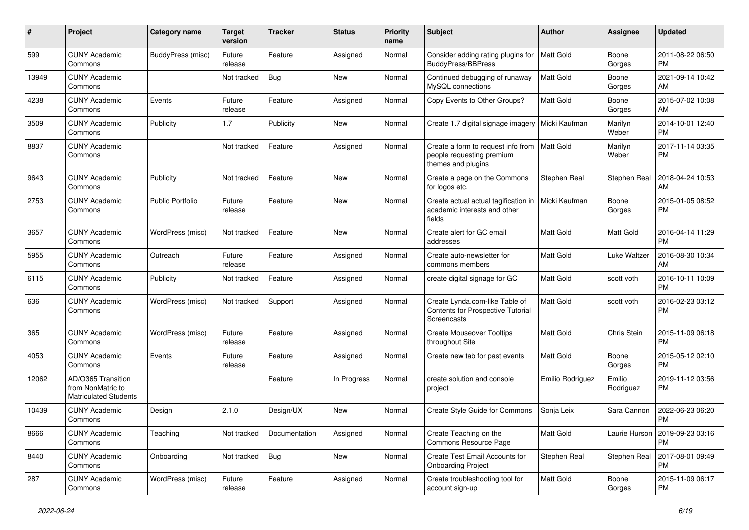| #     | Project                                                                 | <b>Category name</b>     | Target<br>version | Tracker       | <b>Status</b> | <b>Priority</b><br>name | <b>Subject</b>                                                                        | Author           | Assignee            | <b>Updated</b>                |
|-------|-------------------------------------------------------------------------|--------------------------|-------------------|---------------|---------------|-------------------------|---------------------------------------------------------------------------------------|------------------|---------------------|-------------------------------|
| 599   | <b>CUNY Academic</b><br>Commons                                         | <b>BuddyPress (misc)</b> | Future<br>release | Feature       | Assigned      | Normal                  | Consider adding rating plugins for<br><b>BuddyPress/BBPress</b>                       | <b>Matt Gold</b> | Boone<br>Gorges     | 2011-08-22 06:50<br><b>PM</b> |
| 13949 | <b>CUNY Academic</b><br>Commons                                         |                          | Not tracked       | <b>Bug</b>    | New           | Normal                  | Continued debugging of runaway<br>MySQL connections                                   | Matt Gold        | Boone<br>Gorges     | 2021-09-14 10:42<br>AM        |
| 4238  | <b>CUNY Academic</b><br>Commons                                         | Events                   | Future<br>release | Feature       | Assigned      | Normal                  | Copy Events to Other Groups?                                                          | Matt Gold        | Boone<br>Gorges     | 2015-07-02 10:08<br>AM        |
| 3509  | <b>CUNY Academic</b><br>Commons                                         | Publicity                | 1.7               | Publicity     | <b>New</b>    | Normal                  | Create 1.7 digital signage imagery                                                    | Micki Kaufman    | Marilyn<br>Weber    | 2014-10-01 12:40<br><b>PM</b> |
| 8837  | <b>CUNY Academic</b><br>Commons                                         |                          | Not tracked       | Feature       | Assigned      | Normal                  | Create a form to request info from<br>people requesting premium<br>themes and plugins | <b>Matt Gold</b> | Marilyn<br>Weber    | 2017-11-14 03:35<br><b>PM</b> |
| 9643  | <b>CUNY Academic</b><br>Commons                                         | Publicity                | Not tracked       | Feature       | New           | Normal                  | Create a page on the Commons<br>for logos etc.                                        | Stephen Real     | Stephen Real        | 2018-04-24 10:53<br>AM        |
| 2753  | <b>CUNY Academic</b><br>Commons                                         | <b>Public Portfolio</b>  | Future<br>release | Feature       | New           | Normal                  | Create actual actual tagification in<br>academic interests and other<br>fields        | Micki Kaufman    | Boone<br>Gorges     | 2015-01-05 08:52<br><b>PM</b> |
| 3657  | <b>CUNY Academic</b><br>Commons                                         | WordPress (misc)         | Not tracked       | Feature       | New           | Normal                  | Create alert for GC email<br>addresses                                                | <b>Matt Gold</b> | <b>Matt Gold</b>    | 2016-04-14 11:29<br><b>PM</b> |
| 5955  | <b>CUNY Academic</b><br>Commons                                         | Outreach                 | Future<br>release | Feature       | Assigned      | Normal                  | Create auto-newsletter for<br>commons members                                         | Matt Gold        | Luke Waltzer        | 2016-08-30 10:34<br>AM        |
| 6115  | <b>CUNY Academic</b><br>Commons                                         | Publicity                | Not tracked       | Feature       | Assigned      | Normal                  | create digital signage for GC                                                         | Matt Gold        | scott voth          | 2016-10-11 10:09<br><b>PM</b> |
| 636   | <b>CUNY Academic</b><br>Commons                                         | WordPress (misc)         | Not tracked       | Support       | Assigned      | Normal                  | Create Lynda.com-like Table of<br>Contents for Prospective Tutorial<br>Screencasts    | <b>Matt Gold</b> | scott voth          | 2016-02-23 03:12<br><b>PM</b> |
| 365   | <b>CUNY Academic</b><br>Commons                                         | WordPress (misc)         | Future<br>release | Feature       | Assigned      | Normal                  | <b>Create Mouseover Tooltips</b><br>throughout Site                                   | Matt Gold        | Chris Stein         | 2015-11-09 06:18<br><b>PM</b> |
| 4053  | <b>CUNY Academic</b><br>Commons                                         | Events                   | Future<br>release | Feature       | Assigned      | Normal                  | Create new tab for past events                                                        | <b>Matt Gold</b> | Boone<br>Gorges     | 2015-05-12 02:10<br><b>PM</b> |
| 12062 | AD/O365 Transition<br>from NonMatric to<br><b>Matriculated Students</b> |                          |                   | Feature       | In Progress   | Normal                  | create solution and console<br>project                                                | Emilio Rodriguez | Emilio<br>Rodriguez | 2019-11-12 03:56<br><b>PM</b> |
| 10439 | <b>CUNY Academic</b><br>Commons                                         | Design                   | 2.1.0             | Design/UX     | <b>New</b>    | Normal                  | Create Style Guide for Commons                                                        | Sonja Leix       | Sara Cannon         | 2022-06-23 06:20<br><b>PM</b> |
| 8666  | <b>CUNY Academic</b><br>Commons                                         | Teaching                 | Not tracked       | Documentation | Assigned      | Normal                  | Create Teaching on the<br>Commons Resource Page                                       | Matt Gold        | Laurie Hurson       | 2019-09-23 03:16<br>PM        |
| 8440  | <b>CUNY Academic</b><br>Commons                                         | Onboarding               | Not tracked       | Bug           | New           | Normal                  | Create Test Email Accounts for<br><b>Onboarding Project</b>                           | Stephen Real     | Stephen Real        | 2017-08-01 09:49<br>PM        |
| 287   | <b>CUNY Academic</b><br>Commons                                         | WordPress (misc)         | Future<br>release | Feature       | Assigned      | Normal                  | Create troubleshooting tool for<br>account sign-up                                    | Matt Gold        | Boone<br>Gorges     | 2015-11-09 06:17<br><b>PM</b> |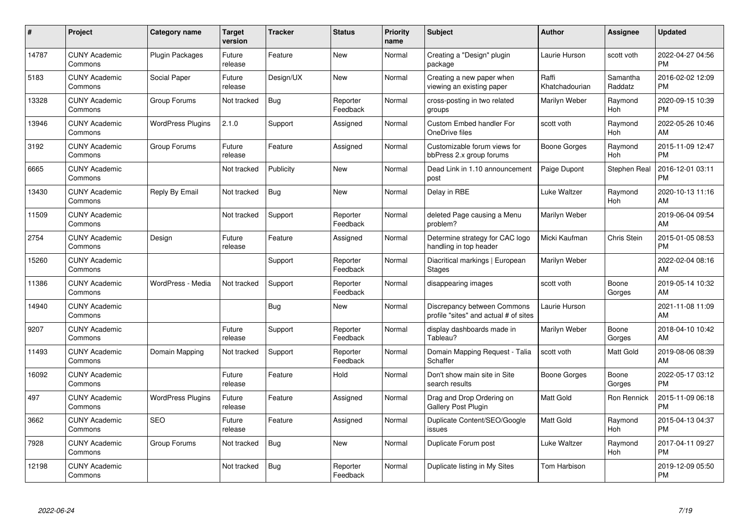| $\pmb{\#}$ | Project                         | <b>Category name</b>     | <b>Target</b><br>version | <b>Tracker</b> | <b>Status</b>        | <b>Priority</b><br>name | <b>Subject</b>                                                       | Author                  | <b>Assignee</b>       | <b>Updated</b>                |
|------------|---------------------------------|--------------------------|--------------------------|----------------|----------------------|-------------------------|----------------------------------------------------------------------|-------------------------|-----------------------|-------------------------------|
| 14787      | <b>CUNY Academic</b><br>Commons | Plugin Packages          | Future<br>release        | Feature        | <b>New</b>           | Normal                  | Creating a "Design" plugin<br>package                                | Laurie Hurson           | scott voth            | 2022-04-27 04:56<br><b>PM</b> |
| 5183       | <b>CUNY Academic</b><br>Commons | Social Paper             | Future<br>release        | Design/UX      | <b>New</b>           | Normal                  | Creating a new paper when<br>viewing an existing paper               | Raffi<br>Khatchadourian | Samantha<br>Raddatz   | 2016-02-02 12:09<br><b>PM</b> |
| 13328      | <b>CUNY Academic</b><br>Commons | Group Forums             | Not tracked              | Bug            | Reporter<br>Feedback | Normal                  | cross-posting in two related<br>groups                               | Marilyn Weber           | Raymond<br><b>Hoh</b> | 2020-09-15 10:39<br><b>PM</b> |
| 13946      | <b>CUNY Academic</b><br>Commons | <b>WordPress Plugins</b> | 2.1.0                    | Support        | Assigned             | Normal                  | <b>Custom Embed handler For</b><br>OneDrive files                    | scott voth              | Raymond<br>Hoh        | 2022-05-26 10:46<br>AM        |
| 3192       | <b>CUNY Academic</b><br>Commons | Group Forums             | Future<br>release        | Feature        | Assigned             | Normal                  | Customizable forum views for<br>bbPress 2.x group forums             | Boone Gorges            | Raymond<br>Hoh        | 2015-11-09 12:47<br><b>PM</b> |
| 6665       | <b>CUNY Academic</b><br>Commons |                          | Not tracked              | Publicity      | <b>New</b>           | Normal                  | Dead Link in 1.10 announcement<br>post                               | Paige Dupont            | Stephen Real          | 2016-12-01 03:11<br>PM        |
| 13430      | <b>CUNY Academic</b><br>Commons | Reply By Email           | Not tracked              | Bug            | <b>New</b>           | Normal                  | Delay in RBE                                                         | Luke Waltzer            | Raymond<br>Hoh        | 2020-10-13 11:16<br>AM        |
| 11509      | <b>CUNY Academic</b><br>Commons |                          | Not tracked              | Support        | Reporter<br>Feedback | Normal                  | deleted Page causing a Menu<br>problem?                              | Marilyn Weber           |                       | 2019-06-04 09:54<br>AM        |
| 2754       | <b>CUNY Academic</b><br>Commons | Design                   | Future<br>release        | Feature        | Assigned             | Normal                  | Determine strategy for CAC logo<br>handling in top header            | Micki Kaufman           | Chris Stein           | 2015-01-05 08:53<br><b>PM</b> |
| 15260      | <b>CUNY Academic</b><br>Commons |                          |                          | Support        | Reporter<br>Feedback | Normal                  | Diacritical markings   European<br><b>Stages</b>                     | Marilyn Weber           |                       | 2022-02-04 08:16<br>AM        |
| 11386      | <b>CUNY Academic</b><br>Commons | WordPress - Media        | Not tracked              | Support        | Reporter<br>Feedback | Normal                  | disappearing images                                                  | scott voth              | Boone<br>Gorges       | 2019-05-14 10:32<br>AM        |
| 14940      | <b>CUNY Academic</b><br>Commons |                          |                          | <b>Bug</b>     | <b>New</b>           | Normal                  | Discrepancy between Commons<br>profile "sites" and actual # of sites | Laurie Hurson           |                       | 2021-11-08 11:09<br>AM        |
| 9207       | <b>CUNY Academic</b><br>Commons |                          | Future<br>release        | Support        | Reporter<br>Feedback | Normal                  | display dashboards made in<br>Tableau?                               | Marilyn Weber           | Boone<br>Gorges       | 2018-04-10 10:42<br>AM        |
| 11493      | <b>CUNY Academic</b><br>Commons | Domain Mapping           | Not tracked              | Support        | Reporter<br>Feedback | Normal                  | Domain Mapping Request - Talia<br>Schaffer                           | scott voth              | Matt Gold             | 2019-08-06 08:39<br>AM        |
| 16092      | <b>CUNY Academic</b><br>Commons |                          | Future<br>release        | Feature        | Hold                 | Normal                  | Don't show main site in Site<br>search results                       | Boone Gorges            | Boone<br>Gorges       | 2022-05-17 03:12<br><b>PM</b> |
| 497        | <b>CUNY Academic</b><br>Commons | <b>WordPress Plugins</b> | Future<br>release        | Feature        | Assigned             | Normal                  | Drag and Drop Ordering on<br>Gallery Post Plugin                     | <b>Matt Gold</b>        | Ron Rennick           | 2015-11-09 06:18<br><b>PM</b> |
| 3662       | <b>CUNY Academic</b><br>Commons | <b>SEO</b>               | Future<br>release        | Feature        | Assigned             | Normal                  | Duplicate Content/SEO/Google<br>issues                               | <b>Matt Gold</b>        | Raymond<br>Hoh        | 2015-04-13 04:37<br><b>PM</b> |
| 7928       | <b>CUNY Academic</b><br>Commons | Group Forums             | Not tracked              | Bug            | <b>New</b>           | Normal                  | Duplicate Forum post                                                 | Luke Waltzer            | Raymond<br>Hoh        | 2017-04-11 09:27<br><b>PM</b> |
| 12198      | <b>CUNY Academic</b><br>Commons |                          | Not tracked              | <b>Bug</b>     | Reporter<br>Feedback | Normal                  | Duplicate listing in My Sites                                        | Tom Harbison            |                       | 2019-12-09 05:50<br>PM        |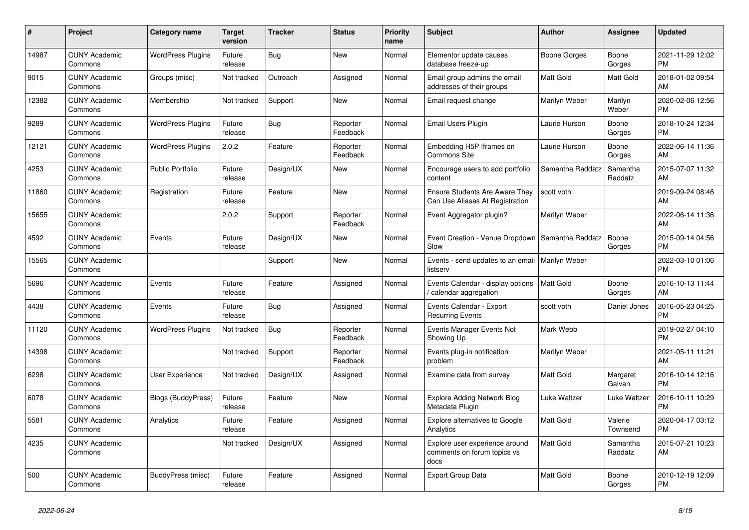| $\#$  | Project                         | <b>Category name</b>     | <b>Target</b><br>version | <b>Tracker</b> | <b>Status</b>        | <b>Priority</b><br>name | <b>Subject</b>                                                           | <b>Author</b>    | Assignee            | <b>Updated</b>                |
|-------|---------------------------------|--------------------------|--------------------------|----------------|----------------------|-------------------------|--------------------------------------------------------------------------|------------------|---------------------|-------------------------------|
| 14987 | <b>CUNY Academic</b><br>Commons | <b>WordPress Plugins</b> | Future<br>release        | <b>Bug</b>     | <b>New</b>           | Normal                  | Elementor update causes<br>database freeze-up                            | Boone Gorges     | Boone<br>Gorges     | 2021-11-29 12:02<br><b>PM</b> |
| 9015  | <b>CUNY Academic</b><br>Commons | Groups (misc)            | Not tracked              | Outreach       | Assigned             | Normal                  | Email group admins the email<br>addresses of their groups                | <b>Matt Gold</b> | Matt Gold           | 2018-01-02 09:54<br>AM        |
| 12382 | <b>CUNY Academic</b><br>Commons | Membership               | Not tracked              | Support        | <b>New</b>           | Normal                  | Email request change                                                     | Marilyn Weber    | Marilyn<br>Weber    | 2020-02-06 12:56<br><b>PM</b> |
| 9289  | <b>CUNY Academic</b><br>Commons | <b>WordPress Plugins</b> | Future<br>release        | <b>Bug</b>     | Reporter<br>Feedback | Normal                  | Email Users Plugin                                                       | Laurie Hurson    | Boone<br>Gorges     | 2018-10-24 12:34<br><b>PM</b> |
| 12121 | <b>CUNY Academic</b><br>Commons | <b>WordPress Plugins</b> | 2.0.2                    | Feature        | Reporter<br>Feedback | Normal                  | Embedding H5P Iframes on<br>Commons Site                                 | Laurie Hurson    | Boone<br>Gorges     | 2022-06-14 11:36<br>AM        |
| 4253  | <b>CUNY Academic</b><br>Commons | <b>Public Portfolio</b>  | Future<br>release        | Design/UX      | <b>New</b>           | Normal                  | Encourage users to add portfolio<br>content                              | Samantha Raddatz | Samantha<br>Raddatz | 2015-07-07 11:32<br>AM        |
| 11860 | <b>CUNY Academic</b><br>Commons | Registration             | Future<br>release        | Feature        | <b>New</b>           | Normal                  | <b>Ensure Students Are Aware They</b><br>Can Use Aliases At Registration | scott voth       |                     | 2019-09-24 08:46<br>AM        |
| 15655 | <b>CUNY Academic</b><br>Commons |                          | 2.0.2                    | Support        | Reporter<br>Feedback | Normal                  | Event Aggregator plugin?                                                 | Marilyn Weber    |                     | 2022-06-14 11:36<br>AM        |
| 4592  | <b>CUNY Academic</b><br>Commons | Events                   | Future<br>release        | Design/UX      | <b>New</b>           | Normal                  | Event Creation - Venue Dropdown<br>Slow                                  | Samantha Raddatz | Boone<br>Gorges     | 2015-09-14 04:56<br><b>PM</b> |
| 15565 | <b>CUNY Academic</b><br>Commons |                          |                          | Support        | <b>New</b>           | Normal                  | Events - send updates to an email   Marilyn Weber<br>listserv            |                  |                     | 2022-03-10 01:06<br><b>PM</b> |
| 5696  | <b>CUNY Academic</b><br>Commons | Events                   | Future<br>release        | Feature        | Assigned             | Normal                  | Events Calendar - display options<br>calendar aggregation                | <b>Matt Gold</b> | Boone<br>Gorges     | 2016-10-13 11:44<br>AM        |
| 4438  | <b>CUNY Academic</b><br>Commons | Events                   | Future<br>release        | Bug            | Assigned             | Normal                  | Events Calendar - Export<br><b>Recurring Events</b>                      | scott voth       | Daniel Jones        | 2016-05-23 04:25<br><b>PM</b> |
| 11120 | <b>CUNY Academic</b><br>Commons | <b>WordPress Plugins</b> | Not tracked              | Bug            | Reporter<br>Feedback | Normal                  | Events Manager Events Not<br>Showing Up                                  | Mark Webb        |                     | 2019-02-27 04:10<br><b>PM</b> |
| 14398 | <b>CUNY Academic</b><br>Commons |                          | Not tracked              | Support        | Reporter<br>Feedback | Normal                  | Events plug-in notification<br>problem                                   | Marilyn Weber    |                     | 2021-05-11 11:21<br>AM        |
| 6298  | <b>CUNY Academic</b><br>Commons | <b>User Experience</b>   | Not tracked              | Design/UX      | Assigned             | Normal                  | Examine data from survey                                                 | Matt Gold        | Margaret<br>Galvan  | 2016-10-14 12:16<br><b>PM</b> |
| 6078  | <b>CUNY Academic</b><br>Commons | Blogs (BuddyPress)       | Future<br>release        | Feature        | <b>New</b>           | Normal                  | <b>Explore Adding Network Blog</b><br>Metadata Plugin                    | Luke Waltzer     | Luke Waltzer        | 2016-10-11 10:29<br><b>PM</b> |
| 5581  | <b>CUNY Academic</b><br>Commons | Analytics                | Future<br>release        | Feature        | Assigned             | Normal                  | <b>Explore alternatives to Google</b><br>Analytics                       | <b>Matt Gold</b> | Valerie<br>Townsend | 2020-04-17 03:12<br><b>PM</b> |
| 4235  | <b>CUNY Academic</b><br>Commons |                          | Not tracked              | Design/UX      | Assigned             | Normal                  | Explore user experience around<br>comments on forum topics vs<br>docs    | <b>Matt Gold</b> | Samantha<br>Raddatz | 2015-07-21 10:23<br>AM        |
| 500   | <b>CUNY Academic</b><br>Commons | BuddyPress (misc)        | Future<br>release        | Feature        | Assigned             | Normal                  | <b>Export Group Data</b>                                                 | <b>Matt Gold</b> | Boone<br>Gorges     | 2010-12-19 12:09<br><b>PM</b> |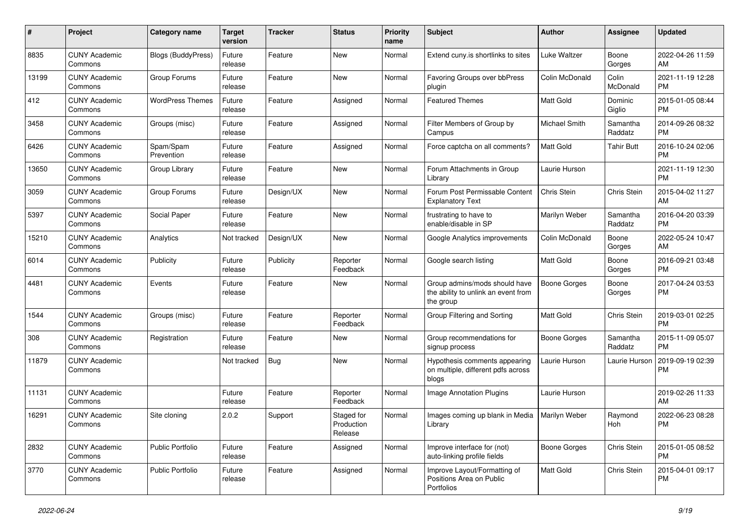| #     | Project                         | <b>Category name</b>      | <b>Target</b><br>version | <b>Tracker</b> | <b>Status</b>                       | <b>Priority</b><br>name | Subject                                                                           | Author              | <b>Assignee</b>     | <b>Updated</b>                |
|-------|---------------------------------|---------------------------|--------------------------|----------------|-------------------------------------|-------------------------|-----------------------------------------------------------------------------------|---------------------|---------------------|-------------------------------|
| 8835  | <b>CUNY Academic</b><br>Commons | <b>Blogs (BuddyPress)</b> | Future<br>release        | Feature        | <b>New</b>                          | Normal                  | Extend cuny.is shortlinks to sites                                                | Luke Waltzer        | Boone<br>Gorges     | 2022-04-26 11:59<br>AM        |
| 13199 | <b>CUNY Academic</b><br>Commons | Group Forums              | Future<br>release        | Feature        | New                                 | Normal                  | Favoring Groups over bbPress<br>plugin                                            | Colin McDonald      | Colin<br>McDonald   | 2021-11-19 12:28<br><b>PM</b> |
| 412   | <b>CUNY Academic</b><br>Commons | <b>WordPress Themes</b>   | Future<br>release        | Feature        | Assigned                            | Normal                  | <b>Featured Themes</b>                                                            | Matt Gold           | Dominic<br>Giglio   | 2015-01-05 08:44<br><b>PM</b> |
| 3458  | <b>CUNY Academic</b><br>Commons | Groups (misc)             | Future<br>release        | Feature        | Assigned                            | Normal                  | Filter Members of Group by<br>Campus                                              | Michael Smith       | Samantha<br>Raddatz | 2014-09-26 08:32<br><b>PM</b> |
| 6426  | <b>CUNY Academic</b><br>Commons | Spam/Spam<br>Prevention   | Future<br>release        | Feature        | Assigned                            | Normal                  | Force captcha on all comments?                                                    | <b>Matt Gold</b>    | <b>Tahir Butt</b>   | 2016-10-24 02:06<br><b>PM</b> |
| 13650 | <b>CUNY Academic</b><br>Commons | Group Library             | Future<br>release        | Feature        | New                                 | Normal                  | Forum Attachments in Group<br>Library                                             | Laurie Hurson       |                     | 2021-11-19 12:30<br><b>PM</b> |
| 3059  | <b>CUNY Academic</b><br>Commons | Group Forums              | Future<br>release        | Design/UX      | New                                 | Normal                  | Forum Post Permissable Content<br><b>Explanatory Text</b>                         | Chris Stein         | Chris Stein         | 2015-04-02 11:27<br>AM        |
| 5397  | <b>CUNY Academic</b><br>Commons | Social Paper              | Future<br>release        | Feature        | <b>New</b>                          | Normal                  | frustrating to have to<br>enable/disable in SP                                    | Marilyn Weber       | Samantha<br>Raddatz | 2016-04-20 03:39<br>PM        |
| 15210 | <b>CUNY Academic</b><br>Commons | Analytics                 | Not tracked              | Design/UX      | New                                 | Normal                  | Google Analytics improvements                                                     | Colin McDonald      | Boone<br>Gorges     | 2022-05-24 10:47<br>AM        |
| 6014  | <b>CUNY Academic</b><br>Commons | Publicity                 | Future<br>release        | Publicity      | Reporter<br>Feedback                | Normal                  | Google search listing                                                             | <b>Matt Gold</b>    | Boone<br>Gorges     | 2016-09-21 03:48<br><b>PM</b> |
| 4481  | <b>CUNY Academic</b><br>Commons | Events                    | Future<br>release        | Feature        | New                                 | Normal                  | Group admins/mods should have<br>the ability to unlink an event from<br>the group | <b>Boone Gorges</b> | Boone<br>Gorges     | 2017-04-24 03:53<br>PM        |
| 1544  | <b>CUNY Academic</b><br>Commons | Groups (misc)             | Future<br>release        | Feature        | Reporter<br>Feedback                | Normal                  | Group Filtering and Sorting                                                       | <b>Matt Gold</b>    | Chris Stein         | 2019-03-01 02:25<br><b>PM</b> |
| 308   | <b>CUNY Academic</b><br>Commons | Registration              | Future<br>release        | Feature        | <b>New</b>                          | Normal                  | Group recommendations for<br>signup process                                       | <b>Boone Gorges</b> | Samantha<br>Raddatz | 2015-11-09 05:07<br><b>PM</b> |
| 11879 | <b>CUNY Academic</b><br>Commons |                           | Not tracked              | <b>Bug</b>     | New                                 | Normal                  | Hypothesis comments appearing<br>on multiple, different pdfs across<br>blogs      | Laurie Hurson       | Laurie Hurson       | 2019-09-19 02:39<br><b>PM</b> |
| 11131 | <b>CUNY Academic</b><br>Commons |                           | Future<br>release        | Feature        | Reporter<br>Feedback                | Normal                  | <b>Image Annotation Plugins</b>                                                   | Laurie Hurson       |                     | 2019-02-26 11:33<br>AM        |
| 16291 | <b>CUNY Academic</b><br>Commons | Site cloning              | 2.0.2                    | Support        | Staged for<br>Production<br>Release | Normal                  | Images coming up blank in Media   Marilyn Weber<br>Library                        |                     | Raymond<br>Hoh      | 2022-06-23 08:28<br>PM        |
| 2832  | <b>CUNY Academic</b><br>Commons | Public Portfolio          | Future<br>release        | Feature        | Assigned                            | Normal                  | Improve interface for (not)<br>auto-linking profile fields                        | <b>Boone Gorges</b> | Chris Stein         | 2015-01-05 08:52<br><b>PM</b> |
| 3770  | <b>CUNY Academic</b><br>Commons | Public Portfolio          | Future<br>release        | Feature        | Assigned                            | Normal                  | Improve Layout/Formatting of<br>Positions Area on Public<br>Portfolios            | Matt Gold           | Chris Stein         | 2015-04-01 09:17<br>PM        |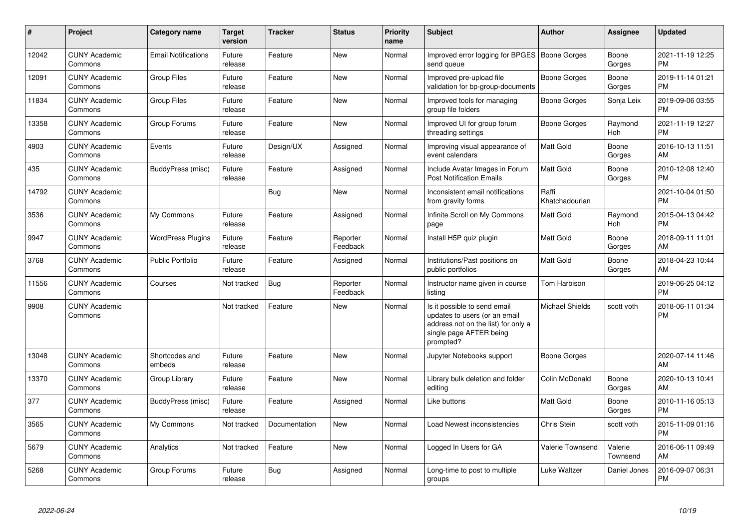| #     | Project                         | Category name              | <b>Target</b><br>version | <b>Tracker</b> | <b>Status</b>        | <b>Priority</b><br>name | <b>Subject</b>                                                                                                                               | <b>Author</b>           | Assignee            | <b>Updated</b>                |
|-------|---------------------------------|----------------------------|--------------------------|----------------|----------------------|-------------------------|----------------------------------------------------------------------------------------------------------------------------------------------|-------------------------|---------------------|-------------------------------|
| 12042 | <b>CUNY Academic</b><br>Commons | <b>Email Notifications</b> | Future<br>release        | Feature        | <b>New</b>           | Normal                  | Improved error logging for BPGES   Boone Gorges<br>send queue                                                                                |                         | Boone<br>Gorges     | 2021-11-19 12:25<br><b>PM</b> |
| 12091 | <b>CUNY Academic</b><br>Commons | <b>Group Files</b>         | Future<br>release        | Feature        | <b>New</b>           | Normal                  | Improved pre-upload file<br>validation for bp-group-documents                                                                                | Boone Gorges            | Boone<br>Gorges     | 2019-11-14 01:21<br><b>PM</b> |
| 11834 | <b>CUNY Academic</b><br>Commons | <b>Group Files</b>         | Future<br>release        | Feature        | <b>New</b>           | Normal                  | Improved tools for managing<br>group file folders                                                                                            | Boone Gorges            | Sonja Leix          | 2019-09-06 03:55<br><b>PM</b> |
| 13358 | <b>CUNY Academic</b><br>Commons | Group Forums               | Future<br>release        | Feature        | <b>New</b>           | Normal                  | Improved UI for group forum<br>threading settings                                                                                            | Boone Gorges            | Raymond<br>Hoh      | 2021-11-19 12:27<br><b>PM</b> |
| 4903  | <b>CUNY Academic</b><br>Commons | Events                     | Future<br>release        | Design/UX      | Assigned             | Normal                  | Improving visual appearance of<br>event calendars                                                                                            | Matt Gold               | Boone<br>Gorges     | 2016-10-13 11:51<br>AM        |
| 435   | <b>CUNY Academic</b><br>Commons | BuddyPress (misc)          | Future<br>release        | Feature        | Assigned             | Normal                  | Include Avatar Images in Forum<br><b>Post Notification Emails</b>                                                                            | Matt Gold               | Boone<br>Gorges     | 2010-12-08 12:40<br><b>PM</b> |
| 14792 | <b>CUNY Academic</b><br>Commons |                            |                          | Bug            | New                  | Normal                  | Inconsistent email notifications<br>from gravity forms                                                                                       | Raffi<br>Khatchadourian |                     | 2021-10-04 01:50<br><b>PM</b> |
| 3536  | <b>CUNY Academic</b><br>Commons | My Commons                 | Future<br>release        | Feature        | Assigned             | Normal                  | Infinite Scroll on My Commons<br>page                                                                                                        | <b>Matt Gold</b>        | Raymond<br>Hoh      | 2015-04-13 04:42<br><b>PM</b> |
| 9947  | <b>CUNY Academic</b><br>Commons | <b>WordPress Plugins</b>   | Future<br>release        | Feature        | Reporter<br>Feedback | Normal                  | Install H5P quiz plugin                                                                                                                      | <b>Matt Gold</b>        | Boone<br>Gorges     | 2018-09-11 11:01<br>AM        |
| 3768  | <b>CUNY Academic</b><br>Commons | <b>Public Portfolio</b>    | Future<br>release        | Feature        | Assigned             | Normal                  | Institutions/Past positions on<br>public portfolios                                                                                          | Matt Gold               | Boone<br>Gorges     | 2018-04-23 10:44<br>AM        |
| 11556 | <b>CUNY Academic</b><br>Commons | Courses                    | Not tracked              | <b>Bug</b>     | Reporter<br>Feedback | Normal                  | Instructor name given in course<br>listing                                                                                                   | Tom Harbison            |                     | 2019-06-25 04:12<br><b>PM</b> |
| 9908  | <b>CUNY Academic</b><br>Commons |                            | Not tracked              | Feature        | <b>New</b>           | Normal                  | Is it possible to send email<br>updates to users (or an email<br>address not on the list) for only a<br>single page AFTER being<br>prompted? | <b>Michael Shields</b>  | scott voth          | 2018-06-11 01:34<br><b>PM</b> |
| 13048 | <b>CUNY Academic</b><br>Commons | Shortcodes and<br>embeds   | Future<br>release        | Feature        | <b>New</b>           | Normal                  | Jupyter Notebooks support                                                                                                                    | Boone Gorges            |                     | 2020-07-14 11:46<br>AM        |
| 13370 | <b>CUNY Academic</b><br>Commons | Group Library              | Future<br>release        | Feature        | <b>New</b>           | Normal                  | Library bulk deletion and folder<br>editing                                                                                                  | Colin McDonald          | Boone<br>Gorges     | 2020-10-13 10:41<br>AM        |
| 377   | <b>CUNY Academic</b><br>Commons | BuddyPress (misc)          | Future<br>release        | Feature        | Assigned             | Normal                  | Like buttons                                                                                                                                 | Matt Gold               | Boone<br>Gorges     | 2010-11-16 05:13<br><b>PM</b> |
| 3565  | <b>CUNY Academic</b><br>Commons | My Commons                 | Not tracked              | Documentation  | <b>New</b>           | Normal                  | Load Newest inconsistencies                                                                                                                  | Chris Stein             | scott voth          | 2015-11-09 01:16<br><b>PM</b> |
| 5679  | <b>CUNY Academic</b><br>Commons | Analytics                  | Not tracked              | Feature        | <b>New</b>           | Normal                  | Logged In Users for GA                                                                                                                       | <b>Valerie Townsend</b> | Valerie<br>Townsend | 2016-06-11 09:49<br>AM        |
| 5268  | <b>CUNY Academic</b><br>Commons | Group Forums               | Future<br>release        | <b>Bug</b>     | Assigned             | Normal                  | Long-time to post to multiple<br>groups                                                                                                      | Luke Waltzer            | Daniel Jones        | 2016-09-07 06:31<br><b>PM</b> |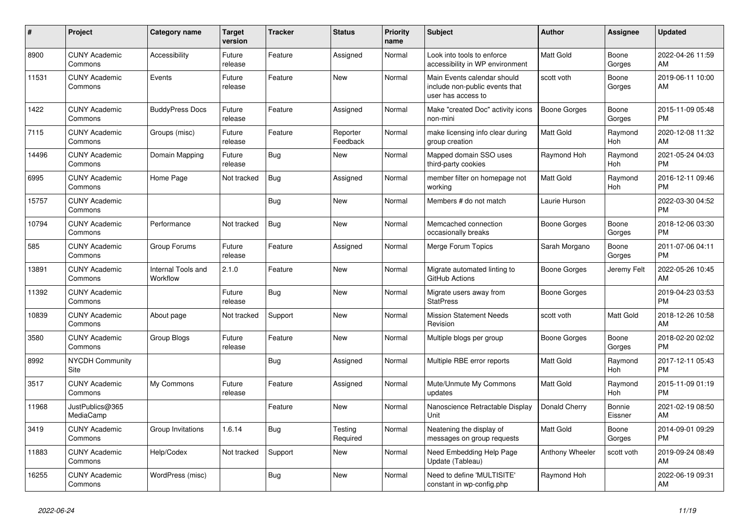| #     | Project                         | <b>Category name</b>           | <b>Target</b><br>version | <b>Tracker</b> | <b>Status</b>        | <b>Priority</b><br>name | <b>Subject</b>                                                                      | <b>Author</b>       | <b>Assignee</b>   | <b>Updated</b>                |
|-------|---------------------------------|--------------------------------|--------------------------|----------------|----------------------|-------------------------|-------------------------------------------------------------------------------------|---------------------|-------------------|-------------------------------|
| 8900  | <b>CUNY Academic</b><br>Commons | Accessibility                  | Future<br>release        | Feature        | Assigned             | Normal                  | Look into tools to enforce<br>accessibility in WP environment                       | Matt Gold           | Boone<br>Gorges   | 2022-04-26 11:59<br>AM        |
| 11531 | <b>CUNY Academic</b><br>Commons | Events                         | Future<br>release        | Feature        | <b>New</b>           | Normal                  | Main Events calendar should<br>include non-public events that<br>user has access to | scott voth          | Boone<br>Gorges   | 2019-06-11 10:00<br>AM        |
| 1422  | <b>CUNY Academic</b><br>Commons | <b>BuddyPress Docs</b>         | Future<br>release        | Feature        | Assigned             | Normal                  | Make "created Doc" activity icons<br>non-mini                                       | <b>Boone Gorges</b> | Boone<br>Gorges   | 2015-11-09 05:48<br><b>PM</b> |
| 7115  | <b>CUNY Academic</b><br>Commons | Groups (misc)                  | Future<br>release        | Feature        | Reporter<br>Feedback | Normal                  | make licensing info clear during<br>group creation                                  | Matt Gold           | Raymond<br>Hoh    | 2020-12-08 11:32<br>AM        |
| 14496 | <b>CUNY Academic</b><br>Commons | Domain Mapping                 | Future<br>release        | Bug            | New                  | Normal                  | Mapped domain SSO uses<br>third-party cookies                                       | Raymond Hoh         | Raymond<br>Hoh    | 2021-05-24 04:03<br><b>PM</b> |
| 6995  | <b>CUNY Academic</b><br>Commons | Home Page                      | Not tracked              | Bug            | Assigned             | Normal                  | member filter on homepage not<br>working                                            | Matt Gold           | Raymond<br>Hoh    | 2016-12-11 09:46<br><b>PM</b> |
| 15757 | <b>CUNY Academic</b><br>Commons |                                |                          | Bug            | New                  | Normal                  | Members # do not match                                                              | Laurie Hurson       |                   | 2022-03-30 04:52<br><b>PM</b> |
| 10794 | <b>CUNY Academic</b><br>Commons | Performance                    | Not tracked              | <b>Bug</b>     | New                  | Normal                  | Memcached connection<br>occasionally breaks                                         | Boone Gorges        | Boone<br>Gorges   | 2018-12-06 03:30<br><b>PM</b> |
| 585   | <b>CUNY Academic</b><br>Commons | Group Forums                   | Future<br>release        | Feature        | Assigned             | Normal                  | Merge Forum Topics                                                                  | Sarah Morgano       | Boone<br>Gorges   | 2011-07-06 04:11<br><b>PM</b> |
| 13891 | <b>CUNY Academic</b><br>Commons | Internal Tools and<br>Workflow | 2.1.0                    | Feature        | <b>New</b>           | Normal                  | Migrate automated linting to<br>GitHub Actions                                      | Boone Gorges        | Jeremy Felt       | 2022-05-26 10:45<br>AM        |
| 11392 | <b>CUNY Academic</b><br>Commons |                                | Future<br>release        | Bug            | <b>New</b>           | Normal                  | Migrate users away from<br><b>StatPress</b>                                         | Boone Gorges        |                   | 2019-04-23 03:53<br><b>PM</b> |
| 10839 | <b>CUNY Academic</b><br>Commons | About page                     | Not tracked              | Support        | New                  | Normal                  | <b>Mission Statement Needs</b><br>Revision                                          | scott voth          | Matt Gold         | 2018-12-26 10:58<br>AM        |
| 3580  | <b>CUNY Academic</b><br>Commons | Group Blogs                    | Future<br>release        | Feature        | <b>New</b>           | Normal                  | Multiple blogs per group                                                            | Boone Gorges        | Boone<br>Gorges   | 2018-02-20 02:02<br><b>PM</b> |
| 8992  | <b>NYCDH Community</b><br>Site  |                                |                          | Bug            | Assigned             | Normal                  | Multiple RBE error reports                                                          | Matt Gold           | Raymond<br>Hoh    | 2017-12-11 05:43<br><b>PM</b> |
| 3517  | <b>CUNY Academic</b><br>Commons | My Commons                     | Future<br>release        | Feature        | Assigned             | Normal                  | Mute/Unmute My Commons<br>updates                                                   | <b>Matt Gold</b>    | Raymond<br>Hoh    | 2015-11-09 01:19<br><b>PM</b> |
| 11968 | JustPublics@365<br>MediaCamp    |                                |                          | Feature        | <b>New</b>           | Normal                  | Nanoscience Retractable Display<br>Unit                                             | Donald Cherry       | Bonnie<br>Eissner | 2021-02-19 08:50<br>AM        |
| 3419  | <b>CUNY Academic</b><br>Commons | Group Invitations              | 1.6.14                   | Bug            | Testing<br>Required  | Normal                  | Neatening the display of<br>messages on group requests                              | Matt Gold           | Boone<br>Gorges   | 2014-09-01 09:29<br><b>PM</b> |
| 11883 | <b>CUNY Academic</b><br>Commons | Help/Codex                     | Not tracked              | Support        | New                  | Normal                  | Need Embedding Help Page<br>Update (Tableau)                                        | Anthony Wheeler     | scott voth        | 2019-09-24 08:49<br>AM        |
| 16255 | <b>CUNY Academic</b><br>Commons | WordPress (misc)               |                          | <b>Bug</b>     | <b>New</b>           | Normal                  | Need to define 'MULTISITE'<br>constant in wp-config.php                             | Raymond Hoh         |                   | 2022-06-19 09:31<br>AM        |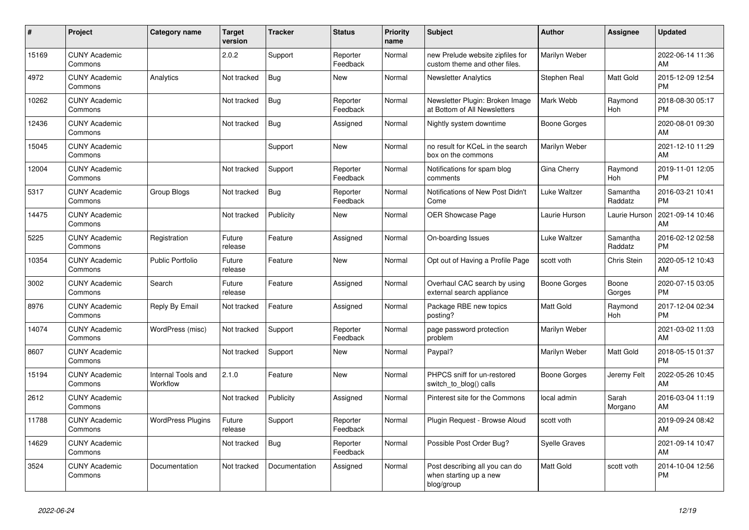| #     | <b>Project</b>                  | Category name                  | <b>Target</b><br>version | Tracker       | <b>Status</b>        | <b>Priority</b><br>name | <b>Subject</b>                                                         | <b>Author</b>        | <b>Assignee</b>     | <b>Updated</b>                |
|-------|---------------------------------|--------------------------------|--------------------------|---------------|----------------------|-------------------------|------------------------------------------------------------------------|----------------------|---------------------|-------------------------------|
| 15169 | <b>CUNY Academic</b><br>Commons |                                | 2.0.2                    | Support       | Reporter<br>Feedback | Normal                  | new Prelude website zipfiles for<br>custom theme and other files.      | Marilyn Weber        |                     | 2022-06-14 11:36<br>AM        |
| 4972  | <b>CUNY Academic</b><br>Commons | Analytics                      | Not tracked              | <b>Bug</b>    | <b>New</b>           | Normal                  | <b>Newsletter Analytics</b>                                            | Stephen Real         | Matt Gold           | 2015-12-09 12:54<br><b>PM</b> |
| 10262 | <b>CUNY Academic</b><br>Commons |                                | Not tracked              | <b>Bug</b>    | Reporter<br>Feedback | Normal                  | Newsletter Plugin: Broken Image<br>at Bottom of All Newsletters        | Mark Webb            | Raymond<br>Hoh      | 2018-08-30 05:17<br><b>PM</b> |
| 12436 | <b>CUNY Academic</b><br>Commons |                                | Not tracked              | Bug           | Assigned             | Normal                  | Nightly system downtime                                                | <b>Boone Gorges</b>  |                     | 2020-08-01 09:30<br>AM        |
| 15045 | <b>CUNY Academic</b><br>Commons |                                |                          | Support       | New                  | Normal                  | no result for KCeL in the search<br>box on the commons                 | Marilyn Weber        |                     | 2021-12-10 11:29<br>AM        |
| 12004 | <b>CUNY Academic</b><br>Commons |                                | Not tracked              | Support       | Reporter<br>Feedback | Normal                  | Notifications for spam blog<br>comments                                | Gina Cherry          | Raymond<br>Hoh      | 2019-11-01 12:05<br><b>PM</b> |
| 5317  | <b>CUNY Academic</b><br>Commons | Group Blogs                    | Not tracked              | Bug           | Reporter<br>Feedback | Normal                  | Notifications of New Post Didn't<br>Come                               | Luke Waltzer         | Samantha<br>Raddatz | 2016-03-21 10:41<br><b>PM</b> |
| 14475 | <b>CUNY Academic</b><br>Commons |                                | Not tracked              | Publicity     | <b>New</b>           | Normal                  | <b>OER Showcase Page</b>                                               | Laurie Hurson        | Laurie Hurson       | 2021-09-14 10:46<br>AM        |
| 5225  | <b>CUNY Academic</b><br>Commons | Registration                   | Future<br>release        | Feature       | Assigned             | Normal                  | On-boarding Issues                                                     | Luke Waltzer         | Samantha<br>Raddatz | 2016-02-12 02:58<br><b>PM</b> |
| 10354 | <b>CUNY Academic</b><br>Commons | <b>Public Portfolio</b>        | Future<br>release        | Feature       | <b>New</b>           | Normal                  | Opt out of Having a Profile Page                                       | scott voth           | Chris Stein         | 2020-05-12 10:43<br>AM        |
| 3002  | <b>CUNY Academic</b><br>Commons | Search                         | Future<br>release        | Feature       | Assigned             | Normal                  | Overhaul CAC search by using<br>external search appliance              | <b>Boone Gorges</b>  | Boone<br>Gorges     | 2020-07-15 03:05<br><b>PM</b> |
| 8976  | <b>CUNY Academic</b><br>Commons | Reply By Email                 | Not tracked              | Feature       | Assigned             | Normal                  | Package RBE new topics<br>posting?                                     | Matt Gold            | Raymond<br>Hoh      | 2017-12-04 02:34<br><b>PM</b> |
| 14074 | <b>CUNY Academic</b><br>Commons | WordPress (misc)               | Not tracked              | Support       | Reporter<br>Feedback | Normal                  | page password protection<br>problem                                    | Marilyn Weber        |                     | 2021-03-02 11:03<br>AM        |
| 8607  | <b>CUNY Academic</b><br>Commons |                                | Not tracked              | Support       | <b>New</b>           | Normal                  | Paypal?                                                                | Marilyn Weber        | Matt Gold           | 2018-05-15 01:37<br><b>PM</b> |
| 15194 | <b>CUNY Academic</b><br>Commons | Internal Tools and<br>Workflow | 2.1.0                    | Feature       | <b>New</b>           | Normal                  | PHPCS sniff for un-restored<br>switch to blog() calls                  | <b>Boone Gorges</b>  | Jeremy Felt         | 2022-05-26 10:45<br>AM        |
| 2612  | <b>CUNY Academic</b><br>Commons |                                | Not tracked              | Publicity     | Assigned             | Normal                  | Pinterest site for the Commons                                         | local admin          | Sarah<br>Morgano    | 2016-03-04 11:19<br>AM        |
| 11788 | <b>CUNY Academic</b><br>Commons | <b>WordPress Plugins</b>       | Future<br>release        | Support       | Reporter<br>Feedback | Normal                  | Plugin Request - Browse Aloud                                          | scott voth           |                     | 2019-09-24 08:42<br>AM        |
| 14629 | <b>CUNY Academic</b><br>Commons |                                | Not tracked              | Bug           | Reporter<br>Feedback | Normal                  | Possible Post Order Bug?                                               | <b>Syelle Graves</b> |                     | 2021-09-14 10:47<br>AM        |
| 3524  | <b>CUNY Academic</b><br>Commons | Documentation                  | Not tracked              | Documentation | Assigned             | Normal                  | Post describing all you can do<br>when starting up a new<br>blog/group | <b>Matt Gold</b>     | scott voth          | 2014-10-04 12:56<br><b>PM</b> |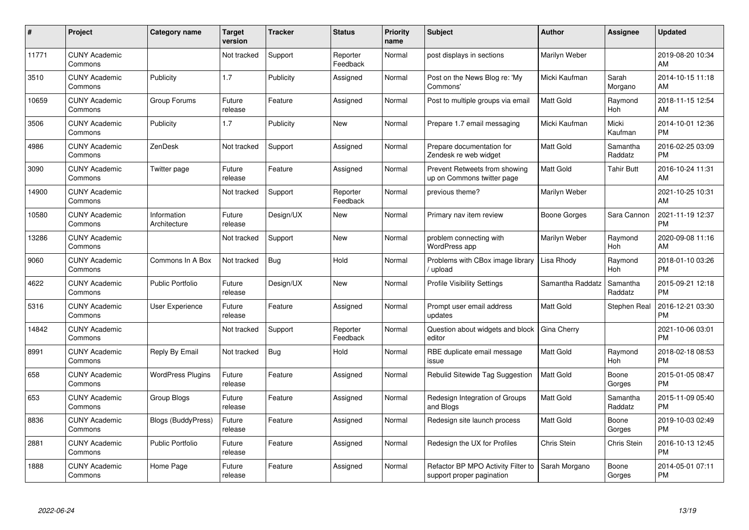| $\#$  | Project                         | <b>Category name</b>        | <b>Target</b><br>version | <b>Tracker</b> | <b>Status</b>        | <b>Priority</b><br>name | <b>Subject</b>                                                  | <b>Author</b>       | <b>Assignee</b>       | <b>Updated</b>                |
|-------|---------------------------------|-----------------------------|--------------------------|----------------|----------------------|-------------------------|-----------------------------------------------------------------|---------------------|-----------------------|-------------------------------|
| 11771 | <b>CUNY Academic</b><br>Commons |                             | Not tracked              | Support        | Reporter<br>Feedback | Normal                  | post displays in sections                                       | Marilyn Weber       |                       | 2019-08-20 10:34<br>AM        |
| 3510  | <b>CUNY Academic</b><br>Commons | Publicity                   | 1.7                      | Publicity      | Assigned             | Normal                  | Post on the News Blog re: 'My<br>Commons'                       | Micki Kaufman       | Sarah<br>Morgano      | 2014-10-15 11:18<br>AM        |
| 10659 | <b>CUNY Academic</b><br>Commons | Group Forums                | Future<br>release        | Feature        | Assigned             | Normal                  | Post to multiple groups via email                               | <b>Matt Gold</b>    | Raymond<br>Hoh        | 2018-11-15 12:54<br>AM        |
| 3506  | <b>CUNY Academic</b><br>Commons | Publicity                   | 1.7                      | Publicity      | <b>New</b>           | Normal                  | Prepare 1.7 email messaging                                     | Micki Kaufman       | Micki<br>Kaufman      | 2014-10-01 12:36<br><b>PM</b> |
| 4986  | <b>CUNY Academic</b><br>Commons | ZenDesk                     | Not tracked              | Support        | Assigned             | Normal                  | Prepare documentation for<br>Zendesk re web widget              | <b>Matt Gold</b>    | Samantha<br>Raddatz   | 2016-02-25 03:09<br><b>PM</b> |
| 3090  | <b>CUNY Academic</b><br>Commons | Twitter page                | Future<br>release        | Feature        | Assigned             | Normal                  | Prevent Retweets from showing<br>up on Commons twitter page     | <b>Matt Gold</b>    | <b>Tahir Butt</b>     | 2016-10-24 11:31<br>AM        |
| 14900 | <b>CUNY Academic</b><br>Commons |                             | Not tracked              | Support        | Reporter<br>Feedback | Normal                  | previous theme?                                                 | Marilyn Weber       |                       | 2021-10-25 10:31<br>AM        |
| 10580 | <b>CUNY Academic</b><br>Commons | Information<br>Architecture | Future<br>release        | Design/UX      | <b>New</b>           | Normal                  | Primary nav item review                                         | <b>Boone Gorges</b> | Sara Cannon           | 2021-11-19 12:37<br><b>PM</b> |
| 13286 | <b>CUNY Academic</b><br>Commons |                             | Not tracked              | Support        | <b>New</b>           | Normal                  | problem connecting with<br>WordPress app                        | Marilyn Weber       | Raymond<br><b>Hoh</b> | 2020-09-08 11:16<br>AM        |
| 9060  | <b>CUNY Academic</b><br>Commons | Commons In A Box            | Not tracked              | Bug            | Hold                 | Normal                  | Problems with CBox image library<br>upload                      | Lisa Rhody          | Raymond<br>Hoh        | 2018-01-10 03:26<br><b>PM</b> |
| 4622  | <b>CUNY Academic</b><br>Commons | <b>Public Portfolio</b>     | Future<br>release        | Design/UX      | <b>New</b>           | Normal                  | <b>Profile Visibility Settings</b>                              | Samantha Raddatz    | Samantha<br>Raddatz   | 2015-09-21 12:18<br><b>PM</b> |
| 5316  | <b>CUNY Academic</b><br>Commons | User Experience             | Future<br>release        | Feature        | Assigned             | Normal                  | Prompt user email address<br>updates                            | <b>Matt Gold</b>    | Stephen Real          | 2016-12-21 03:30<br><b>PM</b> |
| 14842 | <b>CUNY Academic</b><br>Commons |                             | Not tracked              | Support        | Reporter<br>Feedback | Normal                  | Question about widgets and block<br>editor                      | Gina Cherry         |                       | 2021-10-06 03:01<br><b>PM</b> |
| 8991  | <b>CUNY Academic</b><br>Commons | Reply By Email              | Not tracked              | Bug            | Hold                 | Normal                  | RBE duplicate email message<br>issue                            | Matt Gold           | Raymond<br>Hoh        | 2018-02-18 08:53<br><b>PM</b> |
| 658   | <b>CUNY Academic</b><br>Commons | <b>WordPress Plugins</b>    | Future<br>release        | Feature        | Assigned             | Normal                  | Rebulid Sitewide Tag Suggestion                                 | <b>Matt Gold</b>    | Boone<br>Gorges       | 2015-01-05 08:47<br><b>PM</b> |
| 653   | <b>CUNY Academic</b><br>Commons | Group Blogs                 | Future<br>release        | Feature        | Assigned             | Normal                  | Redesign Integration of Groups<br>and Blogs                     | <b>Matt Gold</b>    | Samantha<br>Raddatz   | 2015-11-09 05:40<br><b>PM</b> |
| 8836  | <b>CUNY Academic</b><br>Commons | <b>Blogs (BuddyPress)</b>   | Future<br>release        | Feature        | Assigned             | Normal                  | Redesign site launch process                                    | <b>Matt Gold</b>    | Boone<br>Gorges       | 2019-10-03 02:49<br><b>PM</b> |
| 2881  | <b>CUNY Academic</b><br>Commons | <b>Public Portfolio</b>     | Future<br>release        | Feature        | Assigned             | Normal                  | Redesign the UX for Profiles                                    | <b>Chris Stein</b>  | Chris Stein           | 2016-10-13 12:45<br><b>PM</b> |
| 1888  | <b>CUNY Academic</b><br>Commons | Home Page                   | Future<br>release        | Feature        | Assigned             | Normal                  | Refactor BP MPO Activity Filter to<br>support proper pagination | Sarah Morgano       | Boone<br>Gorges       | 2014-05-01 07:11<br>PM        |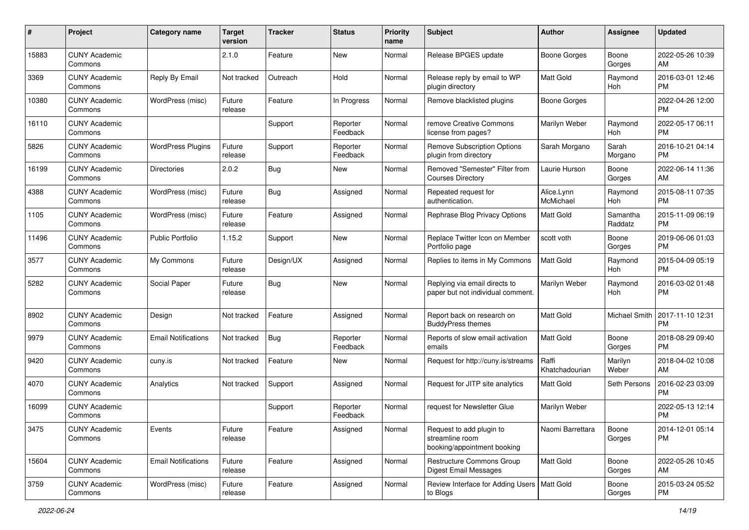| #     | Project                         | <b>Category name</b>       | <b>Target</b><br>version | <b>Tracker</b> | <b>Status</b>        | <b>Priority</b><br>name | <b>Subject</b>                                                             | <b>Author</b>           | <b>Assignee</b>     | <b>Updated</b>                |
|-------|---------------------------------|----------------------------|--------------------------|----------------|----------------------|-------------------------|----------------------------------------------------------------------------|-------------------------|---------------------|-------------------------------|
| 15883 | <b>CUNY Academic</b><br>Commons |                            | 2.1.0                    | Feature        | <b>New</b>           | Normal                  | Release BPGES update                                                       | <b>Boone Gorges</b>     | Boone<br>Gorges     | 2022-05-26 10:39<br>AM        |
| 3369  | <b>CUNY Academic</b><br>Commons | Reply By Email             | Not tracked              | Outreach       | Hold                 | Normal                  | Release reply by email to WP<br>plugin directory                           | Matt Gold               | Raymond<br>Hoh      | 2016-03-01 12:46<br><b>PM</b> |
| 10380 | <b>CUNY Academic</b><br>Commons | WordPress (misc)           | Future<br>release        | Feature        | In Progress          | Normal                  | Remove blacklisted plugins                                                 | <b>Boone Gorges</b>     |                     | 2022-04-26 12:00<br><b>PM</b> |
| 16110 | <b>CUNY Academic</b><br>Commons |                            |                          | Support        | Reporter<br>Feedback | Normal                  | remove Creative Commons<br>license from pages?                             | Marilyn Weber           | Raymond<br>Hoh      | 2022-05-17 06:11<br><b>PM</b> |
| 5826  | <b>CUNY Academic</b><br>Commons | <b>WordPress Plugins</b>   | Future<br>release        | Support        | Reporter<br>Feedback | Normal                  | <b>Remove Subscription Options</b><br>plugin from directory                | Sarah Morgano           | Sarah<br>Morgano    | 2016-10-21 04:14<br><b>PM</b> |
| 16199 | <b>CUNY Academic</b><br>Commons | <b>Directories</b>         | 2.0.2                    | Bug            | <b>New</b>           | Normal                  | Removed "Semester" Filter from<br><b>Courses Directory</b>                 | Laurie Hurson           | Boone<br>Gorges     | 2022-06-14 11:36<br>AM        |
| 4388  | <b>CUNY Academic</b><br>Commons | WordPress (misc)           | Future<br>release        | Bug            | Assigned             | Normal                  | Repeated request for<br>authentication.                                    | Alice.Lynn<br>McMichael | Raymond<br>Hoh      | 2015-08-11 07:35<br><b>PM</b> |
| 1105  | <b>CUNY Academic</b><br>Commons | WordPress (misc)           | Future<br>release        | Feature        | Assigned             | Normal                  | Rephrase Blog Privacy Options                                              | <b>Matt Gold</b>        | Samantha<br>Raddatz | 2015-11-09 06:19<br><b>PM</b> |
| 11496 | <b>CUNY Academic</b><br>Commons | <b>Public Portfolio</b>    | 1.15.2                   | Support        | <b>New</b>           | Normal                  | Replace Twitter Icon on Member<br>Portfolio page                           | scott voth              | Boone<br>Gorges     | 2019-06-06 01:03<br><b>PM</b> |
| 3577  | <b>CUNY Academic</b><br>Commons | My Commons                 | Future<br>release        | Design/UX      | Assigned             | Normal                  | Replies to items in My Commons                                             | <b>Matt Gold</b>        | Raymond<br>Hoh      | 2015-04-09 05:19<br><b>PM</b> |
| 5282  | <b>CUNY Academic</b><br>Commons | Social Paper               | Future<br>release        | Bug            | <b>New</b>           | Normal                  | Replying via email directs to<br>paper but not individual comment.         | Marilyn Weber           | Raymond<br>Hoh      | 2016-03-02 01:48<br><b>PM</b> |
| 8902  | <b>CUNY Academic</b><br>Commons | Design                     | Not tracked              | Feature        | Assigned             | Normal                  | Report back on research on<br><b>BuddyPress themes</b>                     | Matt Gold               | Michael Smith       | 2017-11-10 12:31<br><b>PM</b> |
| 9979  | <b>CUNY Academic</b><br>Commons | <b>Email Notifications</b> | Not tracked              | <b>Bug</b>     | Reporter<br>Feedback | Normal                  | Reports of slow email activation<br>emails                                 | <b>Matt Gold</b>        | Boone<br>Gorges     | 2018-08-29 09:40<br><b>PM</b> |
| 9420  | <b>CUNY Academic</b><br>Commons | cuny.is                    | Not tracked              | Feature        | <b>New</b>           | Normal                  | Request for http://cuny.is/streams                                         | Raffi<br>Khatchadourian | Marilyn<br>Weber    | 2018-04-02 10:08<br>AM        |
| 4070  | <b>CUNY Academic</b><br>Commons | Analytics                  | Not tracked              | Support        | Assigned             | Normal                  | Request for JITP site analytics                                            | Matt Gold               | Seth Persons        | 2016-02-23 03:09<br>PM        |
| 16099 | <b>CUNY Academic</b><br>Commons |                            |                          | Support        | Reporter<br>Feedback | Normal                  | request for Newsletter Glue                                                | Marilyn Weber           |                     | 2022-05-13 12:14<br><b>PM</b> |
| 3475  | <b>CUNY Academic</b><br>Commons | Events                     | Future<br>release        | Feature        | Assigned             | Normal                  | Request to add plugin to<br>streamline room<br>booking/appointment booking | Naomi Barrettara        | Boone<br>Gorges     | 2014-12-01 05:14<br>PM        |
| 15604 | <b>CUNY Academic</b><br>Commons | <b>Email Notifications</b> | Future<br>release        | Feature        | Assigned             | Normal                  | Restructure Commons Group<br>Digest Email Messages                         | Matt Gold               | Boone<br>Gorges     | 2022-05-26 10:45<br>AM        |
| 3759  | <b>CUNY Academic</b><br>Commons | WordPress (misc)           | Future<br>release        | Feature        | Assigned             | Normal                  | Review Interface for Adding Users   Matt Gold<br>to Blogs                  |                         | Boone<br>Gorges     | 2015-03-24 05:52<br><b>PM</b> |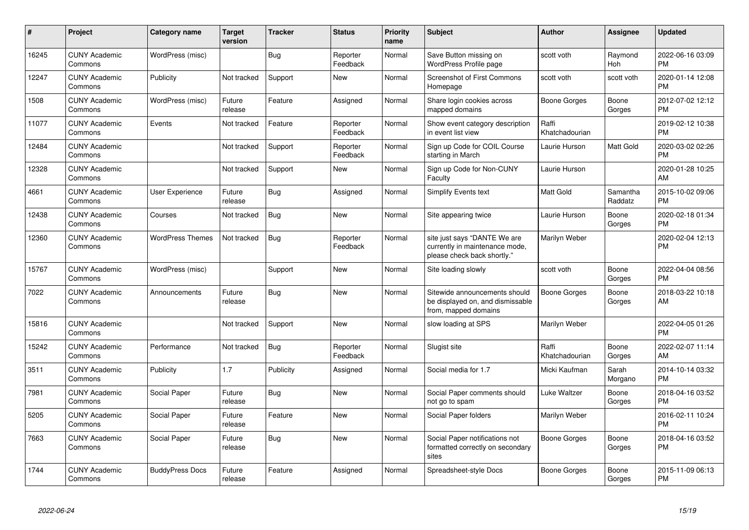| $\#$  | <b>Project</b>                  | Category name           | <b>Target</b><br>version | <b>Tracker</b> | <b>Status</b>        | <b>Priority</b><br>name | <b>Subject</b>                                                                                | Author                  | Assignee              | <b>Updated</b>                |
|-------|---------------------------------|-------------------------|--------------------------|----------------|----------------------|-------------------------|-----------------------------------------------------------------------------------------------|-------------------------|-----------------------|-------------------------------|
| 16245 | <b>CUNY Academic</b><br>Commons | WordPress (misc)        |                          | <b>Bug</b>     | Reporter<br>Feedback | Normal                  | Save Button missing on<br>WordPress Profile page                                              | scott voth              | Raymond<br><b>Hoh</b> | 2022-06-16 03:09<br><b>PM</b> |
| 12247 | <b>CUNY Academic</b><br>Commons | Publicity               | Not tracked              | Support        | <b>New</b>           | Normal                  | Screenshot of First Commons<br>Homepage                                                       | scott voth              | scott voth            | 2020-01-14 12:08<br><b>PM</b> |
| 1508  | <b>CUNY Academic</b><br>Commons | WordPress (misc)        | Future<br>release        | Feature        | Assigned             | Normal                  | Share login cookies across<br>mapped domains                                                  | Boone Gorges            | Boone<br>Gorges       | 2012-07-02 12:12<br><b>PM</b> |
| 11077 | <b>CUNY Academic</b><br>Commons | Events                  | Not tracked              | Feature        | Reporter<br>Feedback | Normal                  | Show event category description<br>in event list view                                         | Raffi<br>Khatchadourian |                       | 2019-02-12 10:38<br><b>PM</b> |
| 12484 | <b>CUNY Academic</b><br>Commons |                         | Not tracked              | Support        | Reporter<br>Feedback | Normal                  | Sign up Code for COIL Course<br>starting in March                                             | Laurie Hurson           | Matt Gold             | 2020-03-02 02:26<br><b>PM</b> |
| 12328 | <b>CUNY Academic</b><br>Commons |                         | Not tracked              | Support        | <b>New</b>           | Normal                  | Sign up Code for Non-CUNY<br>Faculty                                                          | Laurie Hurson           |                       | 2020-01-28 10:25<br>AM        |
| 4661  | <b>CUNY Academic</b><br>Commons | User Experience         | Future<br>release        | <b>Bug</b>     | Assigned             | Normal                  | Simplify Events text                                                                          | <b>Matt Gold</b>        | Samantha<br>Raddatz   | 2015-10-02 09:06<br><b>PM</b> |
| 12438 | <b>CUNY Academic</b><br>Commons | Courses                 | Not tracked              | Bug            | <b>New</b>           | Normal                  | Site appearing twice                                                                          | Laurie Hurson           | Boone<br>Gorges       | 2020-02-18 01:34<br><b>PM</b> |
| 12360 | <b>CUNY Academic</b><br>Commons | <b>WordPress Themes</b> | Not tracked              | Bug            | Reporter<br>Feedback | Normal                  | site just says "DANTE We are<br>currently in maintenance mode,<br>please check back shortly." | Marilyn Weber           |                       | 2020-02-04 12:13<br><b>PM</b> |
| 15767 | <b>CUNY Academic</b><br>Commons | WordPress (misc)        |                          | Support        | New                  | Normal                  | Site loading slowly                                                                           | scott voth              | Boone<br>Gorges       | 2022-04-04 08:56<br><b>PM</b> |
| 7022  | <b>CUNY Academic</b><br>Commons | Announcements           | Future<br>release        | <b>Bug</b>     | <b>New</b>           | Normal                  | Sitewide announcements should<br>be displayed on, and dismissable<br>from, mapped domains     | <b>Boone Gorges</b>     | Boone<br>Gorges       | 2018-03-22 10:18<br>AM        |
| 15816 | <b>CUNY Academic</b><br>Commons |                         | Not tracked              | Support        | <b>New</b>           | Normal                  | slow loading at SPS                                                                           | Marilyn Weber           |                       | 2022-04-05 01:26<br><b>PM</b> |
| 15242 | <b>CUNY Academic</b><br>Commons | Performance             | Not tracked              | <b>Bug</b>     | Reporter<br>Feedback | Normal                  | Slugist site                                                                                  | Raffi<br>Khatchadourian | Boone<br>Gorges       | 2022-02-07 11:14<br>AM        |
| 3511  | <b>CUNY Academic</b><br>Commons | Publicity               | 1.7                      | Publicity      | Assigned             | Normal                  | Social media for 1.7                                                                          | Micki Kaufman           | Sarah<br>Morgano      | 2014-10-14 03:32<br><b>PM</b> |
| 7981  | <b>CUNY Academic</b><br>Commons | Social Paper            | Future<br>release        | <b>Bug</b>     | <b>New</b>           | Normal                  | Social Paper comments should<br>not go to spam                                                | Luke Waltzer            | Boone<br>Gorges       | 2018-04-16 03:52<br><b>PM</b> |
| 5205  | <b>CUNY Academic</b><br>Commons | Social Paper            | Future<br>release        | Feature        | <b>New</b>           | Normal                  | Social Paper folders                                                                          | Marilyn Weber           |                       | 2016-02-11 10:24<br><b>PM</b> |
| 7663  | <b>CUNY Academic</b><br>Commons | Social Paper            | Future<br>release        | <b>Bug</b>     | <b>New</b>           | Normal                  | Social Paper notifications not<br>formatted correctly on secondary<br>sites                   | Boone Gorges            | Boone<br>Gorges       | 2018-04-16 03:52<br><b>PM</b> |
| 1744  | <b>CUNY Academic</b><br>Commons | <b>BuddyPress Docs</b>  | Future<br>release        | Feature        | Assigned             | Normal                  | Spreadsheet-style Docs                                                                        | Boone Gorges            | Boone<br>Gorges       | 2015-11-09 06:13<br><b>PM</b> |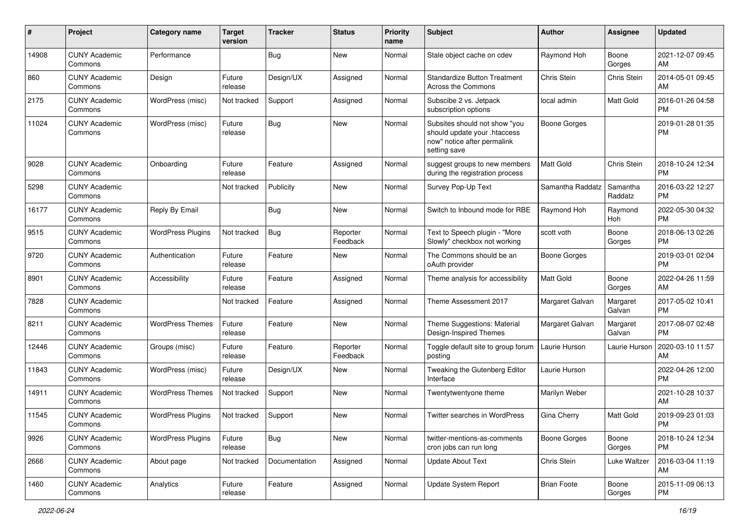| #     | Project                         | <b>Category name</b>     | <b>Target</b><br>version | <b>Tracker</b> | <b>Status</b>        | <b>Priority</b><br>name | Subject                                                                                                      | Author              | Assignee            | <b>Updated</b>                |
|-------|---------------------------------|--------------------------|--------------------------|----------------|----------------------|-------------------------|--------------------------------------------------------------------------------------------------------------|---------------------|---------------------|-------------------------------|
| 14908 | <b>CUNY Academic</b><br>Commons | Performance              |                          | <b>Bug</b>     | <b>New</b>           | Normal                  | Stale object cache on cdev                                                                                   | Raymond Hoh         | Boone<br>Gorges     | 2021-12-07 09:45<br>AM        |
| 860   | <b>CUNY Academic</b><br>Commons | Design                   | Future<br>release        | Design/UX      | Assigned             | Normal                  | <b>Standardize Button Treatment</b><br>Across the Commons                                                    | Chris Stein         | Chris Stein         | 2014-05-01 09:45<br>AM        |
| 2175  | CUNY Academic<br>Commons        | WordPress (misc)         | Not tracked              | Support        | Assigned             | Normal                  | Subscibe 2 vs. Jetpack<br>subscription options                                                               | local admin         | Matt Gold           | 2016-01-26 04:58<br><b>PM</b> |
| 11024 | <b>CUNY Academic</b><br>Commons | WordPress (misc)         | Future<br>release        | <b>Bug</b>     | New                  | Normal                  | Subsites should not show "you<br>should update your .htaccess<br>now" notice after permalink<br>setting save | <b>Boone Gorges</b> |                     | 2019-01-28 01:35<br><b>PM</b> |
| 9028  | <b>CUNY Academic</b><br>Commons | Onboarding               | Future<br>release        | Feature        | Assigned             | Normal                  | suggest groups to new members<br>during the registration process                                             | Matt Gold           | Chris Stein         | 2018-10-24 12:34<br><b>PM</b> |
| 5298  | <b>CUNY Academic</b><br>Commons |                          | Not tracked              | Publicity      | New                  | Normal                  | Survey Pop-Up Text                                                                                           | Samantha Raddatz    | Samantha<br>Raddatz | 2016-03-22 12:27<br><b>PM</b> |
| 16177 | <b>CUNY Academic</b><br>Commons | Reply By Email           |                          | <b>Bug</b>     | New                  | Normal                  | Switch to Inbound mode for RBE                                                                               | Raymond Hoh         | Raymond<br>Hoh      | 2022-05-30 04:32<br><b>PM</b> |
| 9515  | <b>CUNY Academic</b><br>Commons | <b>WordPress Plugins</b> | Not tracked              | <b>Bug</b>     | Reporter<br>Feedback | Normal                  | Text to Speech plugin - "More<br>Slowly" checkbox not working                                                | scott voth          | Boone<br>Gorges     | 2018-06-13 02:26<br><b>PM</b> |
| 9720  | <b>CUNY Academic</b><br>Commons | Authentication           | Future<br>release        | Feature        | New                  | Normal                  | The Commons should be an<br>oAuth provider                                                                   | <b>Boone Gorges</b> |                     | 2019-03-01 02:04<br><b>PM</b> |
| 8901  | <b>CUNY Academic</b><br>Commons | Accessibility            | Future<br>release        | Feature        | Assigned             | Normal                  | Theme analysis for accessibility                                                                             | <b>Matt Gold</b>    | Boone<br>Gorges     | 2022-04-26 11:59<br>AM        |
| 7828  | <b>CUNY Academic</b><br>Commons |                          | Not tracked              | Feature        | Assigned             | Normal                  | Theme Assessment 2017                                                                                        | Margaret Galvan     | Margaret<br>Galvan  | 2017-05-02 10:41<br><b>PM</b> |
| 8211  | <b>CUNY Academic</b><br>Commons | <b>WordPress Themes</b>  | Future<br>release        | Feature        | New                  | Normal                  | Theme Suggestions: Material<br>Design-Inspired Themes                                                        | Margaret Galvan     | Margaret<br>Galvan  | 2017-08-07 02:48<br><b>PM</b> |
| 12446 | <b>CUNY Academic</b><br>Commons | Groups (misc)            | Future<br>release        | Feature        | Reporter<br>Feedback | Normal                  | Toggle default site to group forum<br>posting                                                                | Laurie Hurson       | Laurie Hurson       | 2020-03-10 11:57<br>AM        |
| 11843 | <b>CUNY Academic</b><br>Commons | WordPress (misc)         | Future<br>release        | Design/UX      | New                  | Normal                  | Tweaking the Gutenberg Editor<br>Interface                                                                   | Laurie Hurson       |                     | 2022-04-26 12:00<br><b>PM</b> |
| 14911 | <b>CUNY Academic</b><br>Commons | <b>WordPress Themes</b>  | Not tracked              | Support        | New                  | Normal                  | Twentytwentyone theme                                                                                        | Marilyn Weber       |                     | 2021-10-28 10:37<br>AM        |
| 11545 | <b>CUNY Academic</b><br>Commons | <b>WordPress Plugins</b> | Not tracked              | Support        | New                  | Normal                  | Twitter searches in WordPress                                                                                | Gina Cherry         | Matt Gold           | 2019-09-23 01:03<br>PM        |
| 9926  | <b>CUNY Academic</b><br>Commons | <b>WordPress Plugins</b> | Future<br>release        | Bug            | New                  | Normal                  | twitter-mentions-as-comments<br>cron jobs can run long                                                       | Boone Gorges        | Boone<br>Gorges     | 2018-10-24 12:34<br>PM        |
| 2666  | <b>CUNY Academic</b><br>Commons | About page               | Not tracked              | Documentation  | Assigned             | Normal                  | <b>Update About Text</b>                                                                                     | Chris Stein         | Luke Waltzer        | 2016-03-04 11:19<br>AM        |
| 1460  | <b>CUNY Academic</b><br>Commons | Analytics                | Future<br>release        | Feature        | Assigned             | Normal                  | Update System Report                                                                                         | <b>Brian Foote</b>  | Boone<br>Gorges     | 2015-11-09 06:13<br>PM        |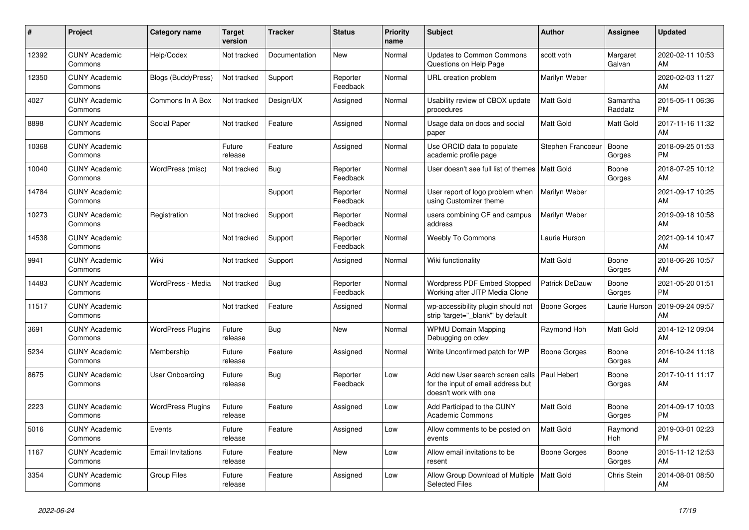| #     | Project                         | Category name             | Target<br>version | <b>Tracker</b> | <b>Status</b>        | <b>Priority</b><br>name | <b>Subject</b>                                                                                  | <b>Author</b>         | <b>Assignee</b>       | <b>Updated</b>                |
|-------|---------------------------------|---------------------------|-------------------|----------------|----------------------|-------------------------|-------------------------------------------------------------------------------------------------|-----------------------|-----------------------|-------------------------------|
| 12392 | <b>CUNY Academic</b><br>Commons | Help/Codex                | Not tracked       | Documentation  | <b>New</b>           | Normal                  | <b>Updates to Common Commons</b><br>Questions on Help Page                                      | scott voth            | Margaret<br>Galvan    | 2020-02-11 10:53<br>AM        |
| 12350 | <b>CUNY Academic</b><br>Commons | <b>Blogs (BuddyPress)</b> | Not tracked       | Support        | Reporter<br>Feedback | Normal                  | <b>URL</b> creation problem                                                                     | Marilyn Weber         |                       | 2020-02-03 11:27<br>AM        |
| 4027  | <b>CUNY Academic</b><br>Commons | Commons In A Box          | Not tracked       | Design/UX      | Assigned             | Normal                  | Usability review of CBOX update<br>procedures                                                   | Matt Gold             | Samantha<br>Raddatz   | 2015-05-11 06:36<br><b>PM</b> |
| 8898  | <b>CUNY Academic</b><br>Commons | Social Paper              | Not tracked       | Feature        | Assigned             | Normal                  | Usage data on docs and social<br>paper                                                          | Matt Gold             | Matt Gold             | 2017-11-16 11:32<br>AM        |
| 10368 | <b>CUNY Academic</b><br>Commons |                           | Future<br>release | Feature        | Assigned             | Normal                  | Use ORCID data to populate<br>academic profile page                                             | Stephen Francoeur     | Boone<br>Gorges       | 2018-09-25 01:53<br><b>PM</b> |
| 10040 | <b>CUNY Academic</b><br>Commons | WordPress (misc)          | Not tracked       | <b>Bug</b>     | Reporter<br>Feedback | Normal                  | User doesn't see full list of themes   Matt Gold                                                |                       | Boone<br>Gorges       | 2018-07-25 10:12<br>AM        |
| 14784 | <b>CUNY Academic</b><br>Commons |                           |                   | Support        | Reporter<br>Feedback | Normal                  | User report of logo problem when<br>using Customizer theme                                      | Marilyn Weber         |                       | 2021-09-17 10:25<br>AM        |
| 10273 | <b>CUNY Academic</b><br>Commons | Registration              | Not tracked       | Support        | Reporter<br>Feedback | Normal                  | users combining CF and campus<br>address                                                        | Marilyn Weber         |                       | 2019-09-18 10:58<br>AM        |
| 14538 | <b>CUNY Academic</b><br>Commons |                           | Not tracked       | Support        | Reporter<br>Feedback | Normal                  | <b>Weebly To Commons</b>                                                                        | Laurie Hurson         |                       | 2021-09-14 10:47<br>AM        |
| 9941  | <b>CUNY Academic</b><br>Commons | Wiki                      | Not tracked       | Support        | Assigned             | Normal                  | Wiki functionality                                                                              | <b>Matt Gold</b>      | Boone<br>Gorges       | 2018-06-26 10:57<br>AM        |
| 14483 | <b>CUNY Academic</b><br>Commons | WordPress - Media         | Not tracked       | Bug            | Reporter<br>Feedback | Normal                  | <b>Wordpress PDF Embed Stopped</b><br>Working after JITP Media Clone                            | <b>Patrick DeDauw</b> | Boone<br>Gorges       | 2021-05-20 01:51<br><b>PM</b> |
| 11517 | <b>CUNY Academic</b><br>Commons |                           | Not tracked       | Feature        | Assigned             | Normal                  | wp-accessibility plugin should not<br>strip 'target=" blank" by default                         | <b>Boone Gorges</b>   | Laurie Hurson         | 2019-09-24 09:57<br>AM        |
| 3691  | <b>CUNY Academic</b><br>Commons | <b>WordPress Plugins</b>  | Future<br>release | Bug            | New                  | Normal                  | <b>WPMU Domain Mapping</b><br>Debugging on cdev                                                 | Raymond Hoh           | Matt Gold             | 2014-12-12 09:04<br>AM        |
| 5234  | <b>CUNY Academic</b><br>Commons | Membership                | Future<br>release | Feature        | Assigned             | Normal                  | Write Unconfirmed patch for WP                                                                  | <b>Boone Gorges</b>   | Boone<br>Gorges       | 2016-10-24 11:18<br>AM        |
| 8675  | <b>CUNY Academic</b><br>Commons | User Onboarding           | Future<br>release | Bug            | Reporter<br>Feedback | Low                     | Add new User search screen calls<br>for the input of email address but<br>doesn't work with one | Paul Hebert           | Boone<br>Gorges       | 2017-10-11 11:17<br>AM        |
| 2223  | <b>CUNY Academic</b><br>Commons | <b>WordPress Plugins</b>  | Future<br>release | Feature        | Assigned             | Low                     | Add Participad to the CUNY<br><b>Academic Commons</b>                                           | <b>Matt Gold</b>      | Boone<br>Gorges       | 2014-09-17 10:03<br><b>PM</b> |
| 5016  | <b>CUNY Academic</b><br>Commons | Events                    | Future<br>release | Feature        | Assigned             | Low                     | Allow comments to be posted on<br>events                                                        | <b>Matt Gold</b>      | Raymond<br><b>Hoh</b> | 2019-03-01 02:23<br><b>PM</b> |
| 1167  | <b>CUNY Academic</b><br>Commons | <b>Email Invitations</b>  | Future<br>release | Feature        | <b>New</b>           | Low                     | Allow email invitations to be<br>resent                                                         | Boone Gorges          | Boone<br>Gorges       | 2015-11-12 12:53<br>AM        |
| 3354  | <b>CUNY Academic</b><br>Commons | <b>Group Files</b>        | Future<br>release | Feature        | Assigned             | Low                     | Allow Group Download of Multiple<br><b>Selected Files</b>                                       | <b>Matt Gold</b>      | Chris Stein           | 2014-08-01 08:50<br>AM        |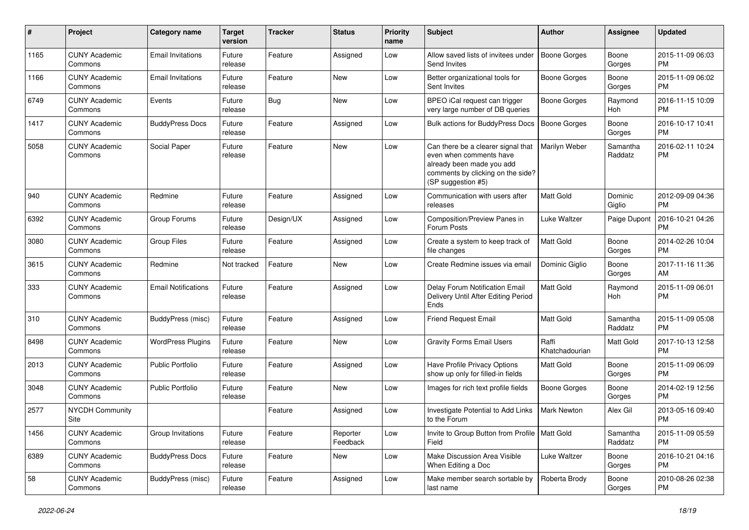| $\#$ | Project                         | <b>Category name</b>       | <b>Target</b><br>version | <b>Tracker</b> | <b>Status</b>        | <b>Priority</b><br>name | <b>Subject</b>                                                                                                                                        | Author                  | <b>Assignee</b>     | <b>Updated</b>                |
|------|---------------------------------|----------------------------|--------------------------|----------------|----------------------|-------------------------|-------------------------------------------------------------------------------------------------------------------------------------------------------|-------------------------|---------------------|-------------------------------|
| 1165 | <b>CUNY Academic</b><br>Commons | <b>Email Invitations</b>   | Future<br>release        | Feature        | Assigned             | Low                     | Allow saved lists of invitees under<br>Send Invites                                                                                                   | <b>Boone Gorges</b>     | Boone<br>Gorges     | 2015-11-09 06:03<br><b>PM</b> |
| 1166 | <b>CUNY Academic</b><br>Commons | <b>Email Invitations</b>   | Future<br>release        | Feature        | New                  | Low                     | Better organizational tools for<br>Sent Invites                                                                                                       | <b>Boone Gorges</b>     | Boone<br>Gorges     | 2015-11-09 06:02<br><b>PM</b> |
| 6749 | <b>CUNY Academic</b><br>Commons | Events                     | Future<br>release        | <b>Bug</b>     | New                  | Low                     | BPEO iCal request can trigger<br>very large number of DB queries                                                                                      | <b>Boone Gorges</b>     | Raymond<br>Hoh      | 2016-11-15 10:09<br><b>PM</b> |
| 1417 | <b>CUNY Academic</b><br>Commons | <b>BuddyPress Docs</b>     | Future<br>release        | Feature        | Assigned             | Low                     | Bulk actions for BuddyPress Docs                                                                                                                      | Boone Gorges            | Boone<br>Gorges     | 2016-10-17 10:41<br><b>PM</b> |
| 5058 | <b>CUNY Academic</b><br>Commons | Social Paper               | Future<br>release        | Feature        | New                  | Low                     | Can there be a clearer signal that<br>even when comments have<br>already been made you add<br>comments by clicking on the side?<br>(SP suggestion #5) | Marilyn Weber           | Samantha<br>Raddatz | 2016-02-11 10:24<br><b>PM</b> |
| 940  | <b>CUNY Academic</b><br>Commons | Redmine                    | Future<br>release        | Feature        | Assigned             | Low                     | Communication with users after<br>releases                                                                                                            | <b>Matt Gold</b>        | Dominic<br>Giglio   | 2012-09-09 04:36<br><b>PM</b> |
| 6392 | <b>CUNY Academic</b><br>Commons | Group Forums               | Future<br>release        | Design/UX      | Assigned             | Low                     | Composition/Preview Panes in<br>Forum Posts                                                                                                           | <b>Luke Waltzer</b>     | Paige Dupont        | 2016-10-21 04:26<br><b>PM</b> |
| 3080 | <b>CUNY Academic</b><br>Commons | <b>Group Files</b>         | Future<br>release        | Feature        | Assigned             | Low                     | Create a system to keep track of<br>file changes                                                                                                      | <b>Matt Gold</b>        | Boone<br>Gorges     | 2014-02-26 10:04<br><b>PM</b> |
| 3615 | <b>CUNY Academic</b><br>Commons | Redmine                    | Not tracked              | Feature        | New                  | Low                     | Create Redmine issues via emai                                                                                                                        | Dominic Giglio          | Boone<br>Gorges     | 2017-11-16 11:36<br>AM        |
| 333  | <b>CUNY Academic</b><br>Commons | <b>Email Notifications</b> | Future<br>release        | Feature        | Assigned             | Low                     | Delay Forum Notification Email<br>Delivery Until After Editing Period<br>Ends                                                                         | Matt Gold               | Raymond<br>Hoh      | 2015-11-09 06:01<br><b>PM</b> |
| 310  | <b>CUNY Academic</b><br>Commons | BuddyPress (misc)          | Future<br>release        | Feature        | Assigned             | Low                     | <b>Friend Request Email</b>                                                                                                                           | <b>Matt Gold</b>        | Samantha<br>Raddatz | 2015-11-09 05:08<br><b>PM</b> |
| 8498 | <b>CUNY Academic</b><br>Commons | <b>WordPress Plugins</b>   | Future<br>release        | Feature        | <b>New</b>           | Low                     | <b>Gravity Forms Email Users</b>                                                                                                                      | Raffi<br>Khatchadourian | <b>Matt Gold</b>    | 2017-10-13 12:58<br><b>PM</b> |
| 2013 | <b>CUNY Academic</b><br>Commons | <b>Public Portfolio</b>    | Future<br>release        | Feature        | Assigned             | Low                     | Have Profile Privacy Options<br>show up only for filled-in fields                                                                                     | Matt Gold               | Boone<br>Gorges     | 2015-11-09 06:09<br><b>PM</b> |
| 3048 | <b>CUNY Academic</b><br>Commons | <b>Public Portfolio</b>    | Future<br>release        | Feature        | New                  | Low                     | Images for rich text profile fields                                                                                                                   | <b>Boone Gorges</b>     | Boone<br>Gorges     | 2014-02-19 12:56<br><b>PM</b> |
| 2577 | <b>NYCDH Community</b><br>Site  |                            |                          | Feature        | Assigned             | Low                     | Investigate Potential to Add Links<br>to the Forum                                                                                                    | Mark Newton             | Alex Gil            | 2013-05-16 09:40<br><b>PM</b> |
| 1456 | <b>CUNY Academic</b><br>Commons | Group Invitations          | Future<br>release        | Feature        | Reporter<br>Feedback | Low                     | Invite to Group Button from Profile   Matt Gold<br>Field                                                                                              |                         | Samantha<br>Raddatz | 2015-11-09 05:59<br><b>PM</b> |
| 6389 | <b>CUNY Academic</b><br>Commons | <b>BuddyPress Docs</b>     | Future<br>release        | Feature        | New                  | Low                     | Make Discussion Area Visible<br>When Editing a Doc                                                                                                    | Luke Waltzer            | Boone<br>Gorges     | 2016-10-21 04:16<br>PM        |
| 58   | <b>CUNY Academic</b><br>Commons | BuddyPress (misc)          | Future<br>release        | Feature        | Assigned             | Low                     | Make member search sortable by<br>last name                                                                                                           | Roberta Brody           | Boone<br>Gorges     | 2010-08-26 02:38<br>PM        |